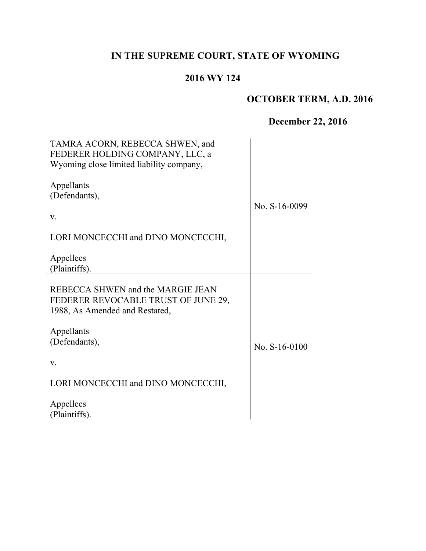# **IN THE SUPREME COURT, STATE OF WYOMING**

# **2016 WY 124**

# **OCTOBER TERM, A.D. 2016**

# **December 22, 2016**

| TAMRA ACORN, REBECCA SHWEN, and<br>FEDERER HOLDING COMPANY, LLC, a<br>Wyoming close limited liability company, |                 |
|----------------------------------------------------------------------------------------------------------------|-----------------|
| Appellants<br>(Defendants),<br>V.                                                                              | No. S-16-0099   |
| LORI MONCECCHI and DINO MONCECCHI,                                                                             |                 |
| Appellees<br>(Plaintiffs).                                                                                     |                 |
| REBECCA SHWEN and the MARGIE JEAN<br>FEDERER REVOCABLE TRUST OF JUNE 29,<br>1988, As Amended and Restated,     |                 |
| Appellants<br>(Defendants),<br>V.                                                                              | No. $S-16-0100$ |
| LORI MONCECCHI and DINO MONCECCHI,                                                                             |                 |
| Appellees<br>(Plaintiffs).                                                                                     |                 |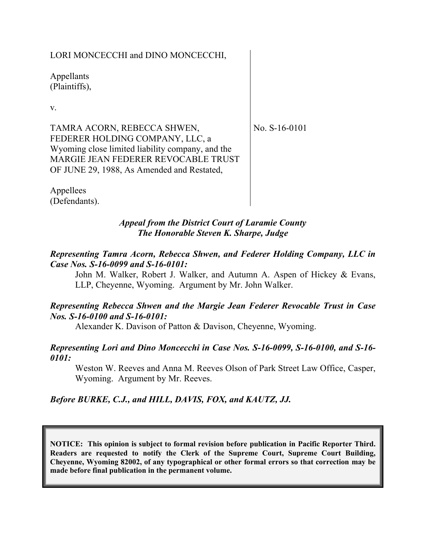### LORI MONCECCHI and DINO MONCECCHI,

Appellants (Plaintiffs),

v.

TAMRA ACORN, REBECCA SHWEN, FEDERER HOLDING COMPANY, LLC, a Wyoming close limited liability company, and the MARGIE JEAN FEDERER REVOCABLE TRUST OF JUNE 29, 1988, As Amended and Restated,

No. S-16-0101

Appellees (Defendants).

#### *Appeal from the District Court of Laramie County The Honorable Steven K. Sharpe, Judge*

#### *Representing Tamra Acorn, Rebecca Shwen, and Federer Holding Company, LLC in Case Nos. S-16-0099 and S-16-0101:*

John M. Walker, Robert J. Walker, and Autumn A. Aspen of Hickey & Evans, LLP, Cheyenne, Wyoming. Argument by Mr. John Walker.

### *Representing Rebecca Shwen and the Margie Jean Federer Revocable Trust in Case Nos. S-16-0100 and S-16-0101:*

Alexander K. Davison of Patton & Davison, Cheyenne, Wyoming.

### *Representing Lori and Dino Moncecchi in Case Nos. S-16-0099, S-16-0100, and S-16- 0101:*

Weston W. Reeves and Anna M. Reeves Olson of Park Street Law Office, Casper, Wyoming. Argument by Mr. Reeves.

### *Before BURKE, C.J., and HILL, DAVIS, FOX, and KAUTZ, JJ.*

**NOTICE: This opinion is subject to formal revision before publication in Pacific Reporter Third. Readers are requested to notify the Clerk of the Supreme Court, Supreme Court Building, Cheyenne, Wyoming 82002, of any typographical or other formal errors so that correction may be made before final publication in the permanent volume.**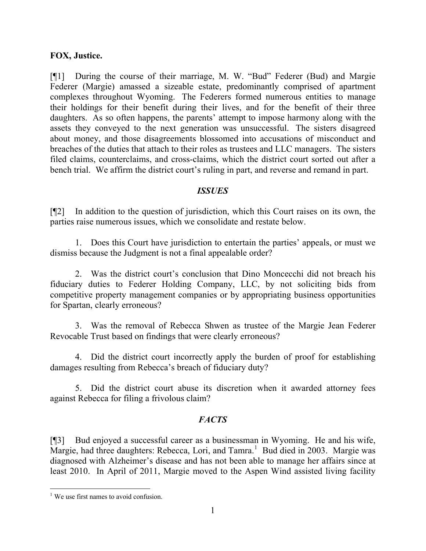#### **FOX, Justice.**

[¶1] During the course of their marriage, M. W. "Bud" Federer (Bud) and Margie Federer (Margie) amassed a sizeable estate, predominantly comprised of apartment complexes throughout Wyoming. The Federers formed numerous entities to manage their holdings for their benefit during their lives, and for the benefit of their three daughters. As so often happens, the parents' attempt to impose harmony along with the assets they conveyed to the next generation was unsuccessful. The sisters disagreed about money, and those disagreements blossomed into accusations of misconduct and breaches of the duties that attach to their roles as trustees and LLC managers. The sisters filed claims, counterclaims, and cross-claims, which the district court sorted out after a bench trial. We affirm the district court's ruling in part, and reverse and remand in part.

### *ISSUES*

[¶2] In addition to the question of jurisdiction, which this Court raises on its own, the parties raise numerous issues, which we consolidate and restate below.

1. Does this Court have jurisdiction to entertain the parties' appeals, or must we dismiss because the Judgment is not a final appealable order?

2. Was the district court's conclusion that Dino Moncecchi did not breach his fiduciary duties to Federer Holding Company, LLC, by not soliciting bids from competitive property management companies or by appropriating business opportunities for Spartan, clearly erroneous?

3. Was the removal of Rebecca Shwen as trustee of the Margie Jean Federer Revocable Trust based on findings that were clearly erroneous?

4. Did the district court incorrectly apply the burden of proof for establishing damages resulting from Rebecca's breach of fiduciary duty?

5. Did the district court abuse its discretion when it awarded attorney fees against Rebecca for filing a frivolous claim?

### *FACTS*

[¶3] Bud enjoyed a successful career as a businessman in Wyoming. He and his wife, Margie, had three daughters: Rebecca, Lori, and Tamra.<sup>1</sup> Bud died in 2003. Margie was diagnosed with Alzheimer's disease and has not been able to manage her affairs since at least 2010. In April of 2011, Margie moved to the Aspen Wind assisted living facility

  $<sup>1</sup>$  We use first names to avoid confusion.</sup>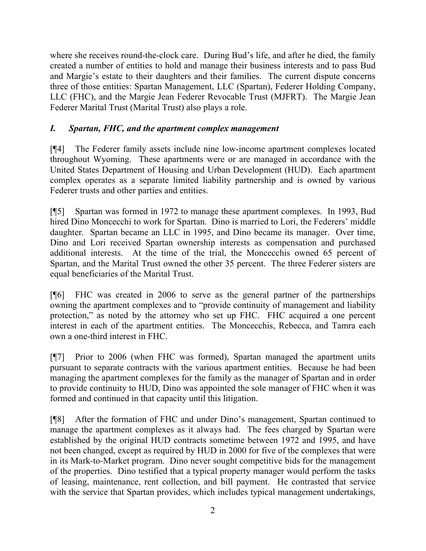where she receives round-the-clock care. During Bud's life, and after he died, the family created a number of entities to hold and manage their business interests and to pass Bud and Margie's estate to their daughters and their families. The current dispute concerns three of those entities: Spartan Management, LLC (Spartan), Federer Holding Company, LLC (FHC), and the Margie Jean Federer Revocable Trust (MJFRT). The Margie Jean Federer Marital Trust (Marital Trust) also plays a role.

### *I. Spartan, FHC, and the apartment complex management*

[¶4] The Federer family assets include nine low-income apartment complexes located throughout Wyoming. These apartments were or are managed in accordance with the United States Department of Housing and Urban Development (HUD). Each apartment complex operates as a separate limited liability partnership and is owned by various Federer trusts and other parties and entities.

[¶5] Spartan was formed in 1972 to manage these apartment complexes. In 1993, Bud hired Dino Moncecchi to work for Spartan. Dino is married to Lori, the Federers' middle daughter. Spartan became an LLC in 1995, and Dino became its manager. Over time, Dino and Lori received Spartan ownership interests as compensation and purchased additional interests. At the time of the trial, the Moncecchis owned 65 percent of Spartan, and the Marital Trust owned the other 35 percent. The three Federer sisters are equal beneficiaries of the Marital Trust.

[¶6] FHC was created in 2006 to serve as the general partner of the partnerships owning the apartment complexes and to "provide continuity of management and liability protection," as noted by the attorney who set up FHC. FHC acquired a one percent interest in each of the apartment entities. The Moncecchis, Rebecca, and Tamra each own a one-third interest in FHC.

[¶7] Prior to 2006 (when FHC was formed), Spartan managed the apartment units pursuant to separate contracts with the various apartment entities. Because he had been managing the apartment complexes for the family as the manager of Spartan and in order to provide continuity to HUD, Dino was appointed the sole manager of FHC when it was formed and continued in that capacity until this litigation.

[¶8] After the formation of FHC and under Dino's management, Spartan continued to manage the apartment complexes as it always had. The fees charged by Spartan were established by the original HUD contracts sometime between 1972 and 1995, and have not been changed, except as required by HUD in 2000 for five of the complexes that were in its Mark-to-Market program. Dino never sought competitive bids for the management of the properties. Dino testified that a typical property manager would perform the tasks of leasing, maintenance, rent collection, and bill payment. He contrasted that service with the service that Spartan provides, which includes typical management undertakings,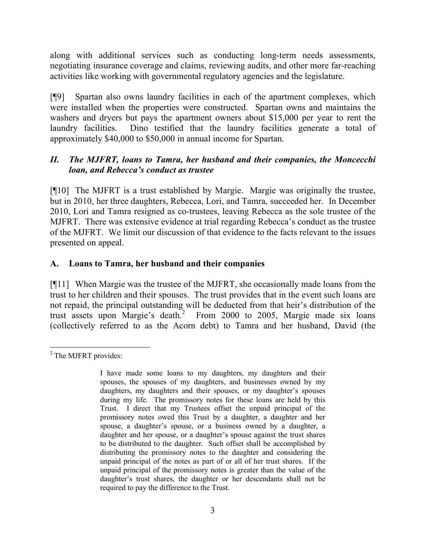along with additional services such as conducting long-term needs assessments, negotiating insurance coverage and claims, reviewing audits, and other more far-reaching activities like working with governmental regulatory agencies and the legislature.

[¶9] Spartan also owns laundry facilities in each of the apartment complexes, which were installed when the properties were constructed. Spartan owns and maintains the washers and dryers but pays the apartment owners about \$15,000 per year to rent the laundry facilities. Dino testified that the laundry facilities generate a total of approximately \$40,000 to \$50,000 in annual income for Spartan.

### *II. The MJFRT, loans to Tamra, her husband and their companies, the Moncecchi loan, and Rebecca's conduct as trustee*

[¶10] The MJFRT is a trust established by Margie. Margie was originally the trustee, but in 2010, her three daughters, Rebecca, Lori, and Tamra, succeeded her. In December 2010, Lori and Tamra resigned as co-trustees, leaving Rebecca as the sole trustee of the MJFRT. There was extensive evidence at trial regarding Rebecca's conduct as the trustee of the MJFRT. We limit our discussion of that evidence to the facts relevant to the issues presented on appeal.

### **A. Loans to Tamra, her husband and their companies**

[¶11] When Margie was the trustee of the MJFRT, she occasionally made loans from the trust to her children and their spouses. The trust provides that in the event such loans are not repaid, the principal outstanding will be deducted from that heir's distribution of the trust assets upon Margie's death.<sup>2</sup> From 2000 to 2005, Margie made six loans (collectively referred to as the Acorn debt) to Tamra and her husband, David (the

 <sup>2</sup> The MJFRT provides:

I have made some loans to my daughters, my daughters and their spouses, the spouses of my daughters, and businesses owned by my daughters, my daughters and their spouses, or my daughter's spouses during my life. The promissory notes for these loans are held by this Trust. I direct that my Trustees offset the unpaid principal of the promissory notes owed this Trust by a daughter, a daughter and her spouse, a daughter's spouse, or a business owned by a daughter, a daughter and her spouse, or a daughter's spouse against the trust shares to be distributed to the daughter. Such offset shall be accomplished by distributing the promissory notes to the daughter and considering the unpaid principal of the notes as part of or all of her trust shares. If the unpaid principal of the promissory notes is greater than the value of the daughter's trust shares, the daughter or her descendants shall not be required to pay the difference to the Trust.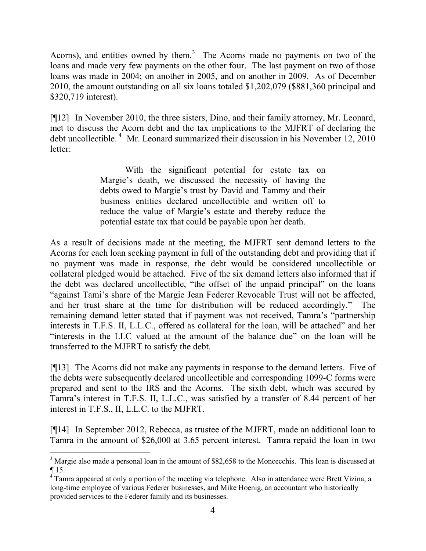Acorns), and entities owned by them.<sup>3</sup> The Acorns made no payments on two of the loans and made very few payments on the other four. The last payment on two of those loans was made in 2004; on another in 2005, and on another in 2009. As of December 2010, the amount outstanding on all six loans totaled \$1,202,079 (\$881,360 principal and \$320,719 interest).

[¶12] In November 2010, the three sisters, Dino, and their family attorney, Mr. Leonard, met to discuss the Acorn debt and the tax implications to the MJFRT of declaring the debt uncollectible.<sup>4</sup> Mr. Leonard summarized their discussion in his November 12, 2010 letter:

> With the significant potential for estate tax on Margie's death, we discussed the necessity of having the debts owed to Margie's trust by David and Tammy and their business entities declared uncollectible and written off to reduce the value of Margie's estate and thereby reduce the potential estate tax that could be payable upon her death.

As a result of decisions made at the meeting, the MJFRT sent demand letters to the Acorns for each loan seeking payment in full of the outstanding debt and providing that if no payment was made in response, the debt would be considered uncollectible or collateral pledged would be attached. Five of the six demand letters also informed that if the debt was declared uncollectible, "the offset of the unpaid principal" on the loans "against Tami's share of the Margie Jean Federer Revocable Trust will not be affected, and her trust share at the time for distribution will be reduced accordingly." The remaining demand letter stated that if payment was not received, Tamra's "partnership interests in T.F.S. II, L.L.C., offered as collateral for the loan, will be attached" and her "interests in the LLC valued at the amount of the balance due" on the loan will be transferred to the MJFRT to satisfy the debt.

[¶13] The Acorns did not make any payments in response to the demand letters. Five of the debts were subsequently declared uncollectible and corresponding 1099-C forms were prepared and sent to the IRS and the Acorns. The sixth debt, which was secured by Tamra's interest in T.F.S. II, L.L.C., was satisfied by a transfer of 8.44 percent of her interest in T.F.S., II, L.L.C. to the MJFRT.

[¶14] In September 2012, Rebecca, as trustee of the MJFRT, made an additional loan to Tamra in the amount of \$26,000 at 3.65 percent interest. Tamra repaid the loan in two

<sup>&</sup>lt;sup>3</sup> Margie also made a personal loan in the amount of \$82,658 to the Moncecchis. This loan is discussed at  $\P$  15.

<sup>&</sup>lt;sup>4</sup> Tamra appeared at only a portion of the meeting via telephone. Also in attendance were Brett Vizina, a long-time employee of various Federer businesses, and Mike Hoenig, an accountant who historically provided services to the Federer family and its businesses.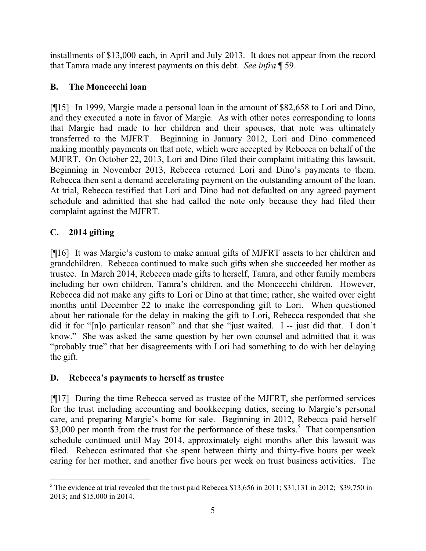installments of \$13,000 each, in April and July 2013. It does not appear from the record that Tamra made any interest payments on this debt. *See infra* ¶ 59.

# **B. The Moncecchi loan**

[¶15] In 1999, Margie made a personal loan in the amount of \$82,658 to Lori and Dino, and they executed a note in favor of Margie. As with other notes corresponding to loans that Margie had made to her children and their spouses, that note was ultimately transferred to the MJFRT. Beginning in January 2012, Lori and Dino commenced making monthly payments on that note, which were accepted by Rebecca on behalf of the MJFRT. On October 22, 2013, Lori and Dino filed their complaint initiating this lawsuit. Beginning in November 2013, Rebecca returned Lori and Dino's payments to them. Rebecca then sent a demand accelerating payment on the outstanding amount of the loan. At trial, Rebecca testified that Lori and Dino had not defaulted on any agreed payment schedule and admitted that she had called the note only because they had filed their complaint against the MJFRT.

# **C. 2014 gifting**

[¶16] It was Margie's custom to make annual gifts of MJFRT assets to her children and grandchildren. Rebecca continued to make such gifts when she succeeded her mother as trustee. In March 2014, Rebecca made gifts to herself, Tamra, and other family members including her own children, Tamra's children, and the Moncecchi children. However, Rebecca did not make any gifts to Lori or Dino at that time; rather, she waited over eight months until December 22 to make the corresponding gift to Lori. When questioned about her rationale for the delay in making the gift to Lori, Rebecca responded that she did it for "[n]o particular reason" and that she "just waited. I -- just did that. I don't know." She was asked the same question by her own counsel and admitted that it was "probably true" that her disagreements with Lori had something to do with her delaying the gift.

# **D. Rebecca's payments to herself as trustee**

[¶17] During the time Rebecca served as trustee of the MJFRT, she performed services for the trust including accounting and bookkeeping duties, seeing to Margie's personal care, and preparing Margie's home for sale. Beginning in 2012, Rebecca paid herself \$3,000 per month from the trust for the performance of these tasks.<sup>5</sup> That compensation schedule continued until May 2014, approximately eight months after this lawsuit was filed. Rebecca estimated that she spent between thirty and thirty-five hours per week caring for her mother, and another five hours per week on trust business activities. The

 <sup>5</sup> The evidence at trial revealed that the trust paid Rebecca \$13,656 in 2011; \$31,131 in 2012; \$39,750 in 2013; and \$15,000 in 2014.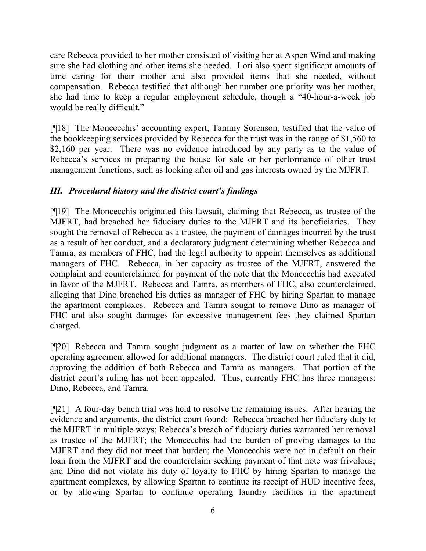care Rebecca provided to her mother consisted of visiting her at Aspen Wind and making sure she had clothing and other items she needed. Lori also spent significant amounts of time caring for their mother and also provided items that she needed, without compensation. Rebecca testified that although her number one priority was her mother, she had time to keep a regular employment schedule, though a "40-hour-a-week job would be really difficult."

[¶18] The Moncecchis' accounting expert, Tammy Sorenson, testified that the value of the bookkeeping services provided by Rebecca for the trust was in the range of \$1,560 to \$2,160 per year. There was no evidence introduced by any party as to the value of Rebecca's services in preparing the house for sale or her performance of other trust management functions, such as looking after oil and gas interests owned by the MJFRT.

# *III. Procedural history and the district court's findings*

[¶19] The Moncecchis originated this lawsuit, claiming that Rebecca, as trustee of the MJFRT, had breached her fiduciary duties to the MJFRT and its beneficiaries. They sought the removal of Rebecca as a trustee, the payment of damages incurred by the trust as a result of her conduct, and a declaratory judgment determining whether Rebecca and Tamra, as members of FHC, had the legal authority to appoint themselves as additional managers of FHC. Rebecca, in her capacity as trustee of the MJFRT, answered the complaint and counterclaimed for payment of the note that the Moncecchis had executed in favor of the MJFRT. Rebecca and Tamra, as members of FHC, also counterclaimed, alleging that Dino breached his duties as manager of FHC by hiring Spartan to manage the apartment complexes. Rebecca and Tamra sought to remove Dino as manager of FHC and also sought damages for excessive management fees they claimed Spartan charged.

[¶20] Rebecca and Tamra sought judgment as a matter of law on whether the FHC operating agreement allowed for additional managers. The district court ruled that it did, approving the addition of both Rebecca and Tamra as managers. That portion of the district court's ruling has not been appealed. Thus, currently FHC has three managers: Dino, Rebecca, and Tamra.

[¶21] A four-day bench trial was held to resolve the remaining issues. After hearing the evidence and arguments, the district court found: Rebecca breached her fiduciary duty to the MJFRT in multiple ways; Rebecca's breach of fiduciary duties warranted her removal as trustee of the MJFRT; the Moncecchis had the burden of proving damages to the MJFRT and they did not meet that burden; the Moncecchis were not in default on their loan from the MJFRT and the counterclaim seeking payment of that note was frivolous; and Dino did not violate his duty of loyalty to FHC by hiring Spartan to manage the apartment complexes, by allowing Spartan to continue its receipt of HUD incentive fees, or by allowing Spartan to continue operating laundry facilities in the apartment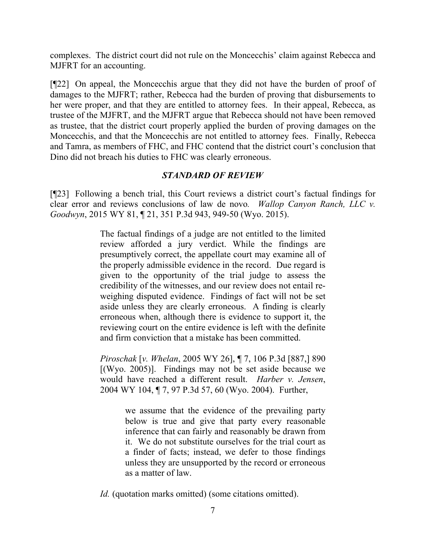complexes. The district court did not rule on the Moncecchis' claim against Rebecca and MJFRT for an accounting.

[¶22] On appeal, the Moncecchis argue that they did not have the burden of proof of damages to the MJFRT; rather, Rebecca had the burden of proving that disbursements to her were proper, and that they are entitled to attorney fees. In their appeal, Rebecca, as trustee of the MJFRT, and the MJFRT argue that Rebecca should not have been removed as trustee, that the district court properly applied the burden of proving damages on the Moncecchis, and that the Moncecchis are not entitled to attorney fees. Finally, Rebecca and Tamra, as members of FHC, and FHC contend that the district court's conclusion that Dino did not breach his duties to FHC was clearly erroneous.

### *STANDARD OF REVIEW*

[¶23] Following a bench trial, this Court reviews a district court's factual findings for clear error and reviews conclusions of law de novo*. Wallop Canyon Ranch, LLC v. Goodwyn*, 2015 WY 81, ¶ 21, 351 P.3d 943, 949-50 (Wyo. 2015).

> The factual findings of a judge are not entitled to the limited review afforded a jury verdict. While the findings are presumptively correct, the appellate court may examine all of the properly admissible evidence in the record. Due regard is given to the opportunity of the trial judge to assess the credibility of the witnesses, and our review does not entail reweighing disputed evidence. Findings of fact will not be set aside unless they are clearly erroneous. A finding is clearly erroneous when, although there is evidence to support it, the reviewing court on the entire evidence is left with the definite and firm conviction that a mistake has been committed.

> *Piroschak* [*v. Whelan*, 2005 WY 26], ¶ 7, 106 P.3d [887,] 890  $[(Wyo. 2005)]$ . Findings may not be set aside because we would have reached a different result. *Harber v. Jensen*, 2004 WY 104, ¶ 7, 97 P.3d 57, 60 (Wyo. 2004). Further,

> > we assume that the evidence of the prevailing party below is true and give that party every reasonable inference that can fairly and reasonably be drawn from it. We do not substitute ourselves for the trial court as a finder of facts; instead, we defer to those findings unless they are unsupported by the record or erroneous as a matter of law.

*Id.* (quotation marks omitted) (some citations omitted).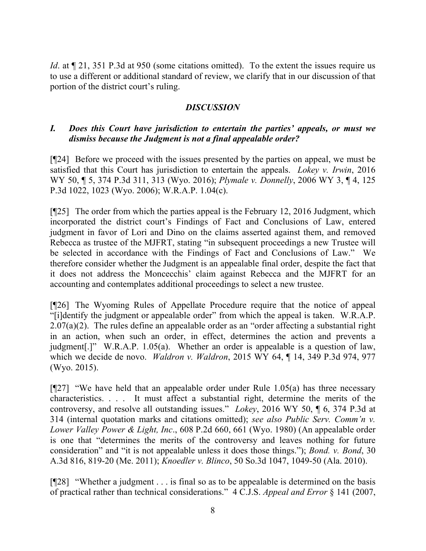*Id*. at  $\P$  21, 351 P.3d at 950 (some citations omitted). To the extent the issues require us to use a different or additional standard of review, we clarify that in our discussion of that portion of the district court's ruling.

### *DISCUSSION*

### *I. Does this Court have jurisdiction to entertain the parties' appeals, or must we dismiss because the Judgment is not a final appealable order?*

[¶24] Before we proceed with the issues presented by the parties on appeal, we must be satisfied that this Court has jurisdiction to entertain the appeals. *Lokey v. Irwin*, 2016 WY 50, ¶ 5, 374 P.3d 311, 313 (Wyo. 2016); *Plymale v. Donnelly*, 2006 WY 3, ¶ 4, 125 P.3d 1022, 1023 (Wyo. 2006); W.R.A.P. 1.04(c).

[¶25] The order from which the parties appeal is the February 12, 2016 Judgment, which incorporated the district court's Findings of Fact and Conclusions of Law, entered judgment in favor of Lori and Dino on the claims asserted against them, and removed Rebecca as trustee of the MJFRT, stating "in subsequent proceedings a new Trustee will be selected in accordance with the Findings of Fact and Conclusions of Law." We therefore consider whether the Judgment is an appealable final order, despite the fact that it does not address the Moncecchis' claim against Rebecca and the MJFRT for an accounting and contemplates additional proceedings to select a new trustee.

[¶26] The Wyoming Rules of Appellate Procedure require that the notice of appeal "[i]dentify the judgment or appealable order" from which the appeal is taken. W.R.A.P.  $2.07(a)(2)$ . The rules define an appealable order as an "order affecting a substantial right in an action, when such an order, in effect, determines the action and prevents a judgment[.]" W.R.A.P. 1.05(a). Whether an order is appealable is a question of law, which we decide de novo. *Waldron v. Waldron*, 2015 WY 64, ¶ 14, 349 P.3d 974, 977 (Wyo. 2015).

 $[927]$  "We have held that an appealable order under Rule 1.05(a) has three necessary characteristics. . . . It must affect a substantial right, determine the merits of the controversy, and resolve all outstanding issues." *Lokey*, 2016 WY 50, ¶ 6, 374 P.3d at 314 (internal quotation marks and citations omitted); *see also Public Serv. Comm'n v. Lower Valley Power & Light, Inc*., 608 P.2d 660, 661 (Wyo. 1980) (An appealable order is one that "determines the merits of the controversy and leaves nothing for future consideration" and "it is not appealable unless it does those things."); *Bond. v. Bond*, 30 A.3d 816, 819-20 (Me. 2011); *Knoedler v. Blinco*, 50 So.3d 1047, 1049-50 (Ala. 2010).

[¶28] "Whether a judgment . . . is final so as to be appealable is determined on the basis of practical rather than technical considerations." 4 C.J.S. *Appeal and Error* § 141 (2007,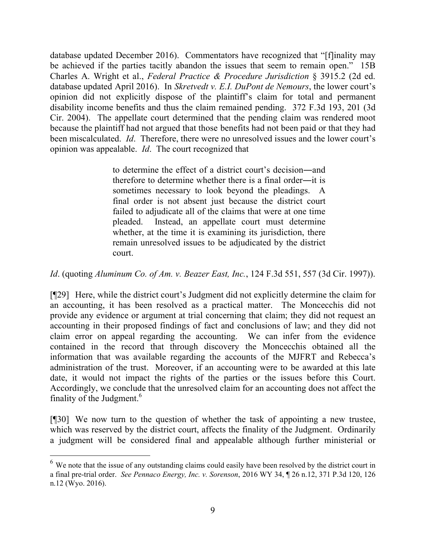database updated December 2016). Commentators have recognized that "[f]inality may be achieved if the parties tacitly abandon the issues that seem to remain open." 15B Charles A. Wright et al., *Federal Practice & Procedure Jurisdiction* § 3915.2 (2d ed. database updated April 2016). In *Skretvedt v. E.I. DuPont de Nemours*, the lower court's opinion did not explicitly dispose of the plaintiff's claim for total and permanent disability income benefits and thus the claim remained pending. 372 F.3d 193, 201 (3d Cir. 2004). The appellate court determined that the pending claim was rendered moot because the plaintiff had not argued that those benefits had not been paid or that they had been miscalculated. *Id*. Therefore, there were no unresolved issues and the lower court's opinion was appealable. *Id*. The court recognized that

> to determine the effect of a district court's decision―and therefore to determine whether there is a final order―it is sometimes necessary to look beyond the pleadings. A final order is not absent just because the district court failed to adjudicate all of the claims that were at one time pleaded. Instead, an appellate court must determine whether, at the time it is examining its jurisdiction, there remain unresolved issues to be adjudicated by the district court.

#### *Id*. (quoting *Aluminum Co. of Am. v. Beazer East, Inc.*, 124 F.3d 551, 557 (3d Cir. 1997)).

[¶29] Here, while the district court's Judgment did not explicitly determine the claim for an accounting, it has been resolved as a practical matter. The Moncecchis did not provide any evidence or argument at trial concerning that claim; they did not request an accounting in their proposed findings of fact and conclusions of law; and they did not claim error on appeal regarding the accounting. We can infer from the evidence contained in the record that through discovery the Moncecchis obtained all the information that was available regarding the accounts of the MJFRT and Rebecca's administration of the trust. Moreover, if an accounting were to be awarded at this late date, it would not impact the rights of the parties or the issues before this Court. Accordingly, we conclude that the unresolved claim for an accounting does not affect the finality of the Judgment.<sup>6</sup>

[¶30] We now turn to the question of whether the task of appointing a new trustee, which was reserved by the district court, affects the finality of the Judgment. Ordinarily a judgment will be considered final and appealable although further ministerial or

<sup>&</sup>lt;sup>6</sup> We note that the issue of any outstanding claims could easily have been resolved by the district court in a final pre-trial order. *See Pennaco Energy, Inc. v. Sorenson*, 2016 WY 34, ¶ 26 n.12, 371 P.3d 120, 126 n.12 (Wyo. 2016).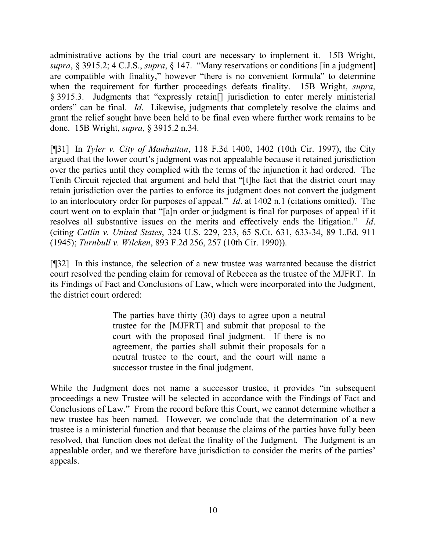administrative actions by the trial court are necessary to implement it. 15B Wright, *supra*, § 3915.2; 4 C.J.S., *supra*, § 147. "Many reservations or conditions [in a judgment] are compatible with finality," however "there is no convenient formula" to determine when the requirement for further proceedings defeats finality. 15B Wright, *supra*, § 3915.3. Judgments that "expressly retain[] jurisdiction to enter merely ministerial orders" can be final. *Id*. Likewise, judgments that completely resolve the claims and grant the relief sought have been held to be final even where further work remains to be done. 15B Wright, *supra*, § 3915.2 n.34.

[¶31] In *Tyler v. City of Manhattan*, 118 F.3d 1400, 1402 (10th Cir. 1997), the City argued that the lower court's judgment was not appealable because it retained jurisdiction over the parties until they complied with the terms of the injunction it had ordered. The Tenth Circuit rejected that argument and held that "[t]he fact that the district court may retain jurisdiction over the parties to enforce its judgment does not convert the judgment to an interlocutory order for purposes of appeal." *Id*. at 1402 n.1 (citations omitted). The court went on to explain that "[a]n order or judgment is final for purposes of appeal if it resolves all substantive issues on the merits and effectively ends the litigation." *Id*. (citin*g Catlin v. United States*, 324 U.S. 229, 233, 65 S.Ct. 631, 633-34, 89 L.Ed. 911 (1945); *Turnbull v. Wilcken*, 893 F.2d 256, 257 (10th Cir. 1990)).

[¶32] In this instance, the selection of a new trustee was warranted because the district court resolved the pending claim for removal of Rebecca as the trustee of the MJFRT. In its Findings of Fact and Conclusions of Law, which were incorporated into the Judgment, the district court ordered:

> The parties have thirty (30) days to agree upon a neutral trustee for the [MJFRT] and submit that proposal to the court with the proposed final judgment. If there is no agreement, the parties shall submit their proposals for a neutral trustee to the court, and the court will name a successor trustee in the final judgment.

While the Judgment does not name a successor trustee, it provides "in subsequent proceedings a new Trustee will be selected in accordance with the Findings of Fact and Conclusions of Law." From the record before this Court, we cannot determine whether a new trustee has been named. However, we conclude that the determination of a new trustee is a ministerial function and that because the claims of the parties have fully been resolved, that function does not defeat the finality of the Judgment. The Judgment is an appealable order, and we therefore have jurisdiction to consider the merits of the parties' appeals.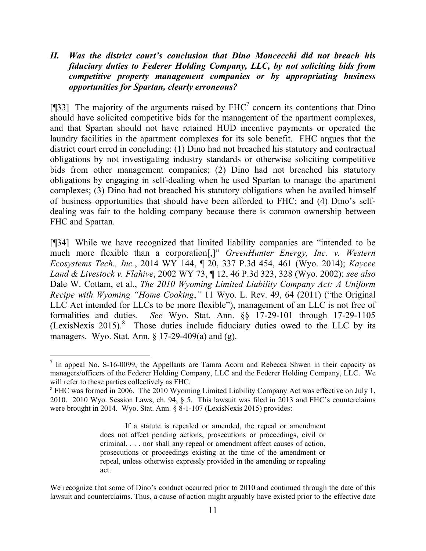*II. Was the district court's conclusion that Dino Moncecchi did not breach his fiduciary duties to Federer Holding Company, LLC, by not soliciting bids from competitive property management companies or by appropriating business opportunities for Spartan, clearly erroneous?* 

[ $[$ ]33] The majority of the arguments raised by FHC<sup>7</sup> concern its contentions that Dino should have solicited competitive bids for the management of the apartment complexes, and that Spartan should not have retained HUD incentive payments or operated the laundry facilities in the apartment complexes for its sole benefit. FHC argues that the district court erred in concluding: (1) Dino had not breached his statutory and contractual obligations by not investigating industry standards or otherwise soliciting competitive bids from other management companies; (2) Dino had not breached his statutory obligations by engaging in self-dealing when he used Spartan to manage the apartment complexes; (3) Dino had not breached his statutory obligations when he availed himself of business opportunities that should have been afforded to FHC; and (4) Dino's selfdealing was fair to the holding company because there is common ownership between FHC and Spartan.

[¶34] While we have recognized that limited liability companies are "intended to be much more flexible than a corporation[,]" *GreenHunter Energy, Inc. v. Western Ecosystems Tech., Inc.*, 2014 WY 144, ¶ 20, 337 P.3d 454, 461 (Wyo. 2014); *Kaycee Land & Livestock v. Flahive*, 2002 WY 73, ¶ 12, 46 P.3d 323, 328 (Wyo. 2002); *see also* Dale W. Cottam, et al., *The 2010 Wyoming Limited Liability Company Act: A Uniform Recipe with Wyoming "Home Cooking*,*"* 11 Wyo. L. Rev. 49, 64 (2011) ("the Original LLC Act intended for LLCs to be more flexible"), management of an LLC is not free of formalities and duties. *See* Wyo. Stat. Ann. §§ 17-29-101 through 17-29-1105 (LexisNexis 2015). 8 Those duties include fiduciary duties owed to the LLC by its managers. Wyo. Stat. Ann. § 17-29-409(a) and (g).

<sup>&</sup>lt;sup>7</sup> In appeal No. S-16-0099, the Appellants are Tamra Acorn and Rebecca Shwen in their capacity as managers/officers of the Federer Holding Company, LLC and the Federer Holding Company, LLC. We will refer to these parties collectively as FHC.

<sup>8</sup> FHC was formed in 2006. The 2010 Wyoming Limited Liability Company Act was effective on July 1, 2010. 2010 Wyo. Session Laws, ch. 94, § 5. This lawsuit was filed in 2013 and FHC's counterclaims were brought in 2014. Wyo. Stat. Ann. § 8-1-107 (LexisNexis 2015) provides:

If a statute is repealed or amended, the repeal or amendment does not affect pending actions, prosecutions or proceedings, civil or criminal. . . . nor shall any repeal or amendment affect causes of action, prosecutions or proceedings existing at the time of the amendment or repeal, unless otherwise expressly provided in the amending or repealing act.

We recognize that some of Dino's conduct occurred prior to 2010 and continued through the date of this lawsuit and counterclaims. Thus, a cause of action might arguably have existed prior to the effective date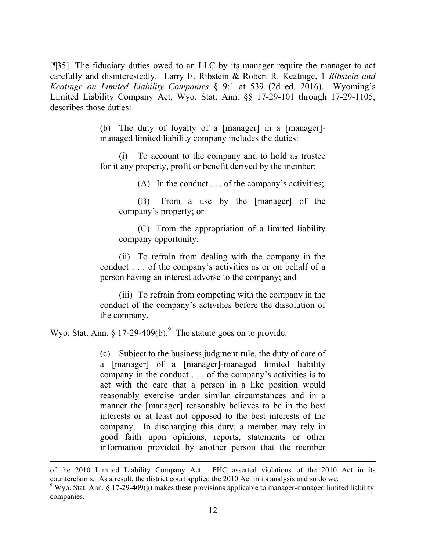[¶35] The fiduciary duties owed to an LLC by its manager require the manager to act carefully and disinterestedly. Larry E. Ribstein & Robert R. Keatinge, 1 *Ribstein and Keatinge on Limited Liability Companies* § 9:1 at 539 (2d ed. 2016). Wyoming's Limited Liability Company Act, Wyo. Stat. Ann. §§ 17-29-101 through 17-29-1105, describes those duties:

> (b) The duty of loyalty of a [manager] in a [manager] managed limited liability company includes the duties:

> (i) To account to the company and to hold as trustee for it any property, profit or benefit derived by the member:

> > (A) In the conduct . . . of the company's activities;

(B) From a use by the [manager] of the company's property; or

(C) From the appropriation of a limited liability company opportunity;

(ii) To refrain from dealing with the company in the conduct . . . of the company's activities as or on behalf of a person having an interest adverse to the company; and

(iii) To refrain from competing with the company in the conduct of the company's activities before the dissolution of the company.

Wyo. Stat. Ann.  $\S 17-29-409(b)$ . The statute goes on to provide:

(c) Subject to the business judgment rule, the duty of care of a [manager] of a [manager]-managed limited liability company in the conduct . . . of the company's activities is to act with the care that a person in a like position would reasonably exercise under similar circumstances and in a manner the [manager] reasonably believes to be in the best interests or at least not opposed to the best interests of the company. In discharging this duty, a member may rely in good faith upon opinions, reports, statements or other information provided by another person that the member

of the 2010 Limited Liability Company Act. FHC asserted violations of the 2010 Act in its counterclaims. As a result, the district court applied the 2010 Act in its analysis and so do we.

 $9$  Wyo. Stat. Ann. § 17-29-409(g) makes these provisions applicable to manager-managed limited liability companies.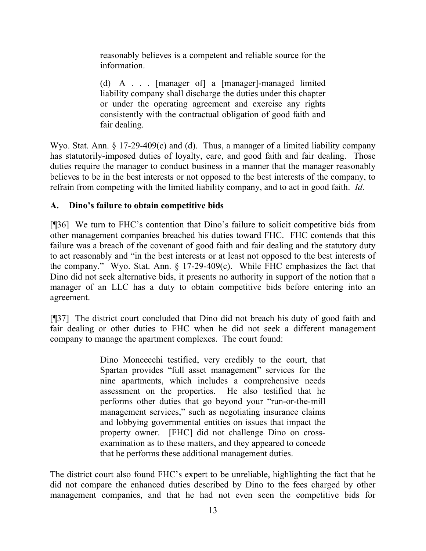reasonably believes is a competent and reliable source for the information.

(d) A . . . [manager of] a [manager]-managed limited liability company shall discharge the duties under this chapter or under the operating agreement and exercise any rights consistently with the contractual obligation of good faith and fair dealing.

Wyo. Stat. Ann. § 17-29-409(c) and (d). Thus, a manager of a limited liability company has statutorily-imposed duties of loyalty, care, and good faith and fair dealing. Those duties require the manager to conduct business in a manner that the manager reasonably believes to be in the best interests or not opposed to the best interests of the company, to refrain from competing with the limited liability company, and to act in good faith. *Id*.

# **A. Dino's failure to obtain competitive bids**

[¶36] We turn to FHC's contention that Dino's failure to solicit competitive bids from other management companies breached his duties toward FHC. FHC contends that this failure was a breach of the covenant of good faith and fair dealing and the statutory duty to act reasonably and "in the best interests or at least not opposed to the best interests of the company." Wyo. Stat. Ann. § 17-29-409(c). While FHC emphasizes the fact that Dino did not seek alternative bids, it presents no authority in support of the notion that a manager of an LLC has a duty to obtain competitive bids before entering into an agreement.

[¶37] The district court concluded that Dino did not breach his duty of good faith and fair dealing or other duties to FHC when he did not seek a different management company to manage the apartment complexes. The court found:

> Dino Moncecchi testified, very credibly to the court, that Spartan provides "full asset management" services for the nine apartments, which includes a comprehensive needs assessment on the properties. He also testified that he performs other duties that go beyond your "run-or-the-mill management services," such as negotiating insurance claims and lobbying governmental entities on issues that impact the property owner. [FHC] did not challenge Dino on crossexamination as to these matters, and they appeared to concede that he performs these additional management duties.

The district court also found FHC's expert to be unreliable, highlighting the fact that he did not compare the enhanced duties described by Dino to the fees charged by other management companies, and that he had not even seen the competitive bids for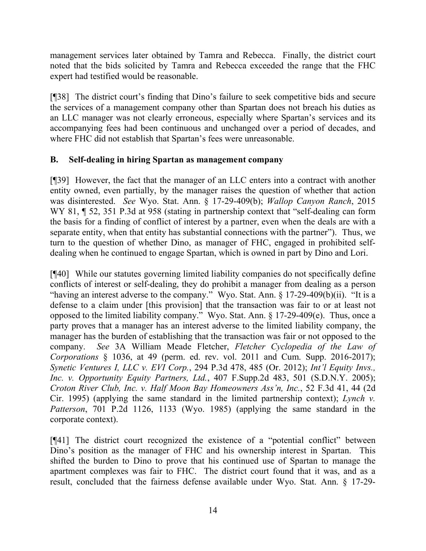management services later obtained by Tamra and Rebecca. Finally, the district court noted that the bids solicited by Tamra and Rebecca exceeded the range that the FHC expert had testified would be reasonable.

[¶38] The district court's finding that Dino's failure to seek competitive bids and secure the services of a management company other than Spartan does not breach his duties as an LLC manager was not clearly erroneous, especially where Spartan's services and its accompanying fees had been continuous and unchanged over a period of decades, and where FHC did not establish that Spartan's fees were unreasonable.

### **B. Self-dealing in hiring Spartan as management company**

[¶39] However, the fact that the manager of an LLC enters into a contract with another entity owned, even partially, by the manager raises the question of whether that action was disinterested. *See* Wyo. Stat. Ann. § 17-29-409(b); *Wallop Canyon Ranch*, 2015 WY 81,  $\parallel$  52, 351 P.3d at 958 (stating in partnership context that "self-dealing can form the basis for a finding of conflict of interest by a partner, even when the deals are with a separate entity, when that entity has substantial connections with the partner"). Thus, we turn to the question of whether Dino, as manager of FHC, engaged in prohibited selfdealing when he continued to engage Spartan, which is owned in part by Dino and Lori.

[¶40] While our statutes governing limited liability companies do not specifically define conflicts of interest or self-dealing, they do prohibit a manager from dealing as a person "having an interest adverse to the company." Wyo. Stat. Ann. § 17-29-409(b)(ii). "It is a defense to a claim under [this provision] that the transaction was fair to or at least not opposed to the limited liability company." Wyo. Stat. Ann. § 17-29-409(e). Thus, once a party proves that a manager has an interest adverse to the limited liability company, the manager has the burden of establishing that the transaction was fair or not opposed to the company. *See* 3A William Meade Fletcher, *Fletcher Cyclopedia of the Law of Corporations* § 1036, at 49 (perm. ed. rev. vol. 2011 and Cum. Supp. 2016-2017); *Synetic Ventures I, LLC v. EVI Corp.*, 294 P.3d 478, 485 (Or. 2012); *Int'l Equity Invs., Inc. v. Opportunity Equity Partners, Ltd.*, 407 F.Supp.2d 483, 501 (S.D.N.Y. 2005); *Croton River Club, Inc. v. Half Moon Bay Homeowners Ass'n, Inc.*, 52 F.3d 41, 44 (2d Cir. 1995) (applying the same standard in the limited partnership context); *Lynch v. Patterson*, 701 P.2d 1126, 1133 (Wyo. 1985) (applying the same standard in the corporate context).

[¶41] The district court recognized the existence of a "potential conflict" between Dino's position as the manager of FHC and his ownership interest in Spartan. This shifted the burden to Dino to prove that his continued use of Spartan to manage the apartment complexes was fair to FHC. The district court found that it was, and as a result, concluded that the fairness defense available under Wyo. Stat. Ann. § 17-29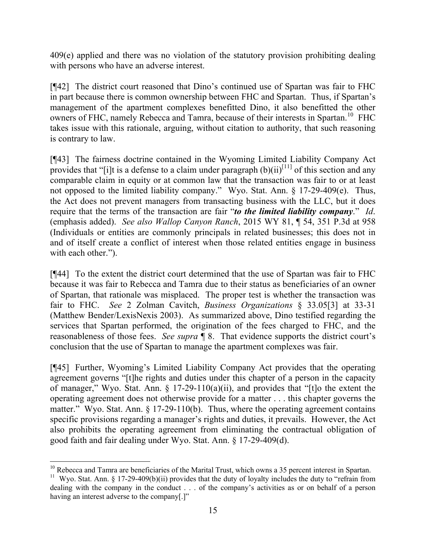409(e) applied and there was no violation of the statutory provision prohibiting dealing with persons who have an adverse interest.

[¶42] The district court reasoned that Dino's continued use of Spartan was fair to FHC in part because there is common ownership between FHC and Spartan. Thus, if Spartan's management of the apartment complexes benefitted Dino, it also benefitted the other owners of FHC, namely Rebecca and Tamra, because of their interests in Spartan.<sup>10</sup> FHC takes issue with this rationale, arguing, without citation to authority, that such reasoning is contrary to law.

[¶43] The fairness doctrine contained in the Wyoming Limited Liability Company Act provides that "[i]t is a defense to a claim under paragraph  $(b)(ii)^{[11]}$  of this section and any comparable claim in equity or at common law that the transaction was fair to or at least not opposed to the limited liability company." Wyo. Stat. Ann. § 17-29-409(e). Thus, the Act does not prevent managers from transacting business with the LLC, but it does require that the terms of the transaction are fair "*to the limited liability company*." *Id*. (emphasis added). *See also Wallop Canyon Ranch*, 2015 WY 81, ¶ 54, 351 P.3d at 958 (Individuals or entities are commonly principals in related businesses; this does not in and of itself create a conflict of interest when those related entities engage in business with each other.").

[¶44] To the extent the district court determined that the use of Spartan was fair to FHC because it was fair to Rebecca and Tamra due to their status as beneficiaries of an owner of Spartan, that rationale was misplaced. The proper test is whether the transaction was fair to FHC. *See* 2 Zolman Cavitch, *Business Organizations* § 33.05[3] at 33-31 (Matthew Bender/LexisNexis 2003). As summarized above, Dino testified regarding the services that Spartan performed, the origination of the fees charged to FHC, and the reasonableness of those fees. *See supra* ¶ 8. That evidence supports the district court's conclusion that the use of Spartan to manage the apartment complexes was fair.

[¶45] Further, Wyoming's Limited Liability Company Act provides that the operating agreement governs "[t]he rights and duties under this chapter of a person in the capacity of manager," Wyo. Stat. Ann. § 17-29-110(a)(ii), and provides that "[t]o the extent the operating agreement does not otherwise provide for a matter . . . this chapter governs the matter." Wyo. Stat. Ann. § 17-29-110(b). Thus, where the operating agreement contains specific provisions regarding a manager's rights and duties, it prevails. However, the Act also prohibits the operating agreement from eliminating the contractual obligation of good faith and fair dealing under Wyo. Stat. Ann. § 17-29-409(d).

 $10$  Rebecca and Tamra are beneficiaries of the Marital Trust, which owns a 35 percent interest in Spartan.

<sup>&</sup>lt;sup>11</sup> Wyo. Stat. Ann. § 17-29-409(b)(ii) provides that the duty of loyalty includes the duty to "refrain from dealing with the company in the conduct . . . of the company's activities as or on behalf of a person having an interest adverse to the company[.]"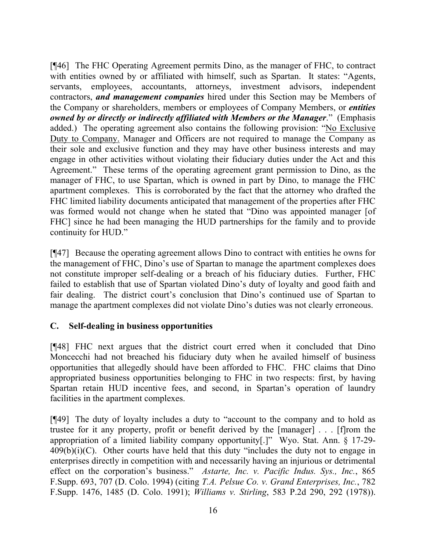[¶46] The FHC Operating Agreement permits Dino, as the manager of FHC, to contract with entities owned by or affiliated with himself, such as Spartan. It states: "Agents, servants, employees, accountants, attorneys, investment advisors, independent contractors, *and management companies* hired under this Section may be Members of the Company or shareholders, members or employees of Company Members, or *entities owned by or directly or indirectly affiliated with Members or the Manager*." (Emphasis added.) The operating agreement also contains the following provision: "No Exclusive Duty to Company. Manager and Officers are not required to manage the Company as their sole and exclusive function and they may have other business interests and may engage in other activities without violating their fiduciary duties under the Act and this Agreement." These terms of the operating agreement grant permission to Dino, as the manager of FHC, to use Spartan, which is owned in part by Dino, to manage the FHC apartment complexes. This is corroborated by the fact that the attorney who drafted the FHC limited liability documents anticipated that management of the properties after FHC was formed would not change when he stated that "Dino was appointed manager [of FHC] since he had been managing the HUD partnerships for the family and to provide continuity for HUD."

[¶47] Because the operating agreement allows Dino to contract with entities he owns for the management of FHC, Dino's use of Spartan to manage the apartment complexes does not constitute improper self-dealing or a breach of his fiduciary duties. Further, FHC failed to establish that use of Spartan violated Dino's duty of loyalty and good faith and fair dealing. The district court's conclusion that Dino's continued use of Spartan to manage the apartment complexes did not violate Dino's duties was not clearly erroneous.

### **C. Self-dealing in business opportunities**

[¶48] FHC next argues that the district court erred when it concluded that Dino Moncecchi had not breached his fiduciary duty when he availed himself of business opportunities that allegedly should have been afforded to FHC. FHC claims that Dino appropriated business opportunities belonging to FHC in two respects: first, by having Spartan retain HUD incentive fees, and second, in Spartan's operation of laundry facilities in the apartment complexes.

[¶49] The duty of loyalty includes a duty to "account to the company and to hold as trustee for it any property, profit or benefit derived by the [manager] . . . [f]rom the appropriation of a limited liability company opportunity[.]" Wyo. Stat. Ann. § 17-29-  $409(b)(i)(C)$ . Other courts have held that this duty "includes the duty not to engage in enterprises directly in competition with and necessarily having an injurious or detrimental effect on the corporation's business." *Astarte, Inc. v. Pacific Indus. Sys., Inc.*, 865 F.Supp. 693, 707 (D. Colo. 1994) (citing *T.A. Pelsue Co. v. Grand Enterprises, Inc.*, 782 F.Supp. 1476, 1485 (D. Colo. 1991); *Williams v. Stirling*, 583 P.2d 290, 292 (1978)).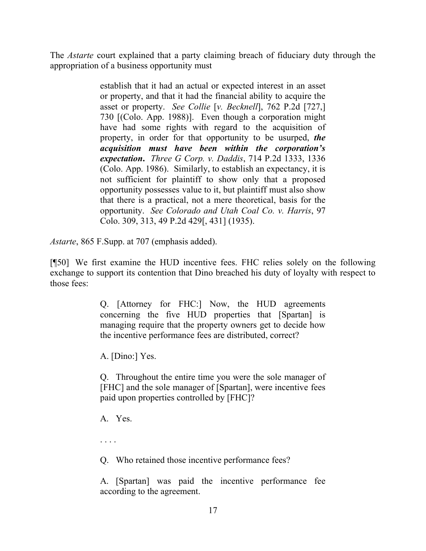The *Astarte* court explained that a party claiming breach of fiduciary duty through the appropriation of a business opportunity must

> establish that it had an actual or expected interest in an asset or property, and that it had the financial ability to acquire the asset or property. *See Collie* [*v. Becknell*], 762 P.2d [727,] 730 [(Colo. App. 1988)]. Even though a corporation might have had some rights with regard to the acquisition of property, in order for that opportunity to be usurped, *the acquisition must have been within the corporation's expectation***.** *Three G Corp. v. Daddis*, 714 P.2d 1333, 1336 (Colo. App. 1986). Similarly, to establish an expectancy, it is not sufficient for plaintiff to show only that a proposed opportunity possesses value to it, but plaintiff must also show that there is a practical, not a mere theoretical, basis for the opportunity. *See Colorado and Utah Coal Co. v. Harris*, 97 Colo. 309, 313, 49 P.2d 429[, 431] (1935).

*Astarte*, 865 F.Supp. at 707 (emphasis added).

[¶50] We first examine the HUD incentive fees. FHC relies solely on the following exchange to support its contention that Dino breached his duty of loyalty with respect to those fees:

> Q. [Attorney for FHC:] Now, the HUD agreements concerning the five HUD properties that [Spartan] is managing require that the property owners get to decide how the incentive performance fees are distributed, correct?

A. [Dino:] Yes.

Q. Throughout the entire time you were the sole manager of [FHC] and the sole manager of [Spartan], were incentive fees paid upon properties controlled by [FHC]?

A. Yes.

. . . .

Q. Who retained those incentive performance fees?

A. [Spartan] was paid the incentive performance fee according to the agreement.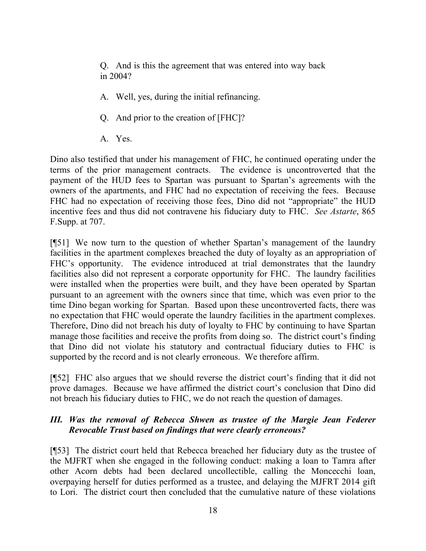Q. And is this the agreement that was entered into way back in 2004?

- A. Well, yes, during the initial refinancing.
- Q. And prior to the creation of [FHC]?
- A. Yes.

Dino also testified that under his management of FHC, he continued operating under the terms of the prior management contracts. The evidence is uncontroverted that the payment of the HUD fees to Spartan was pursuant to Spartan's agreements with the owners of the apartments, and FHC had no expectation of receiving the fees. Because FHC had no expectation of receiving those fees, Dino did not "appropriate" the HUD incentive fees and thus did not contravene his fiduciary duty to FHC. *See Astarte*, 865 F.Supp. at 707.

[¶51] We now turn to the question of whether Spartan's management of the laundry facilities in the apartment complexes breached the duty of loyalty as an appropriation of FHC's opportunity. The evidence introduced at trial demonstrates that the laundry facilities also did not represent a corporate opportunity for FHC. The laundry facilities were installed when the properties were built, and they have been operated by Spartan pursuant to an agreement with the owners since that time, which was even prior to the time Dino began working for Spartan. Based upon these uncontroverted facts, there was no expectation that FHC would operate the laundry facilities in the apartment complexes. Therefore, Dino did not breach his duty of loyalty to FHC by continuing to have Spartan manage those facilities and receive the profits from doing so. The district court's finding that Dino did not violate his statutory and contractual fiduciary duties to FHC is supported by the record and is not clearly erroneous. We therefore affirm.

[¶52] FHC also argues that we should reverse the district court's finding that it did not prove damages. Because we have affirmed the district court's conclusion that Dino did not breach his fiduciary duties to FHC, we do not reach the question of damages.

### *III. Was the removal of Rebecca Shwen as trustee of the Margie Jean Federer Revocable Trust based on findings that were clearly erroneous?*

[¶53] The district court held that Rebecca breached her fiduciary duty as the trustee of the MJFRT when she engaged in the following conduct: making a loan to Tamra after other Acorn debts had been declared uncollectible, calling the Moncecchi loan, overpaying herself for duties performed as a trustee, and delaying the MJFRT 2014 gift to Lori. The district court then concluded that the cumulative nature of these violations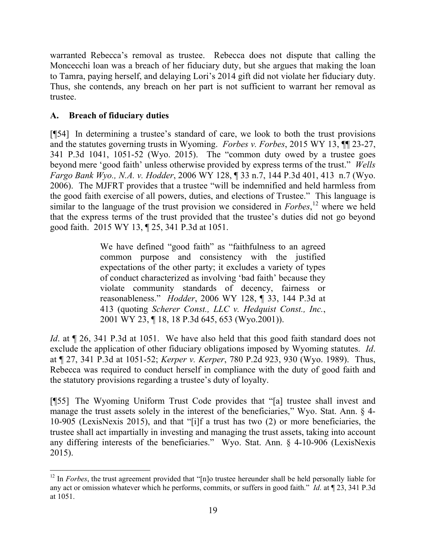warranted Rebecca's removal as trustee. Rebecca does not dispute that calling the Moncecchi loan was a breach of her fiduciary duty, but she argues that making the loan to Tamra, paying herself, and delaying Lori's 2014 gift did not violate her fiduciary duty. Thus, she contends, any breach on her part is not sufficient to warrant her removal as trustee.

## **A. Breach of fiduciary duties**

[¶54] In determining a trustee's standard of care, we look to both the trust provisions and the statutes governing trusts in Wyoming. *Forbes v. Forbes*, 2015 WY 13, ¶¶ 23-27, 341 P.3d 1041, 1051-52 (Wyo. 2015). The "common duty owed by a trustee goes beyond mere 'good faith' unless otherwise provided by express terms of the trust." *Wells Fargo Bank Wyo., N.A. v. Hodder*, 2006 WY 128, ¶ 33 n.7, 144 P.3d 401, 413 n.7 (Wyo. 2006). The MJFRT provides that a trustee "will be indemnified and held harmless from the good faith exercise of all powers, duties, and elections of Trustee." This language is similar to the language of the trust provision we considered in *Forbes*, <sup>12</sup> where we held that the express terms of the trust provided that the trustee's duties did not go beyond good faith. 2015 WY 13, ¶ 25, 341 P.3d at 1051.

> We have defined "good faith" as "faithfulness to an agreed common purpose and consistency with the justified expectations of the other party; it excludes a variety of types of conduct characterized as involving 'bad faith' because they violate community standards of decency, fairness or reasonableness." *Hodder*, 2006 WY 128, ¶ 33, 144 P.3d at 413 (quoting *Scherer Const., LLC v. Hedquist Const., Inc.*, 2001 WY 23, ¶ 18, 18 P.3d 645, 653 (Wyo.2001)).

*Id*. at  $\P$  26, 341 P.3d at 1051. We have also held that this good faith standard does not exclude the application of other fiduciary obligations imposed by Wyoming statutes. *Id*. at ¶ 27, 341 P.3d at 1051-52; *Kerper v. Kerper*, 780 P.2d 923, 930 (Wyo. 1989). Thus, Rebecca was required to conduct herself in compliance with the duty of good faith and the statutory provisions regarding a trustee's duty of loyalty.

[¶55] The Wyoming Uniform Trust Code provides that "[a] trustee shall invest and manage the trust assets solely in the interest of the beneficiaries," Wyo. Stat. Ann. § 4- 10-905 (LexisNexis 2015), and that "[i]f a trust has two (2) or more beneficiaries, the trustee shall act impartially in investing and managing the trust assets, taking into account any differing interests of the beneficiaries." Wyo. Stat. Ann. § 4-10-906 (LexisNexis 2015).

 <sup>12</sup> In *Forbes*, the trust agreement provided that "[n]o trustee hereunder shall be held personally liable for any act or omission whatever which he performs, commits, or suffers in good faith." *Id*. at ¶ 23, 341 P.3d at 1051.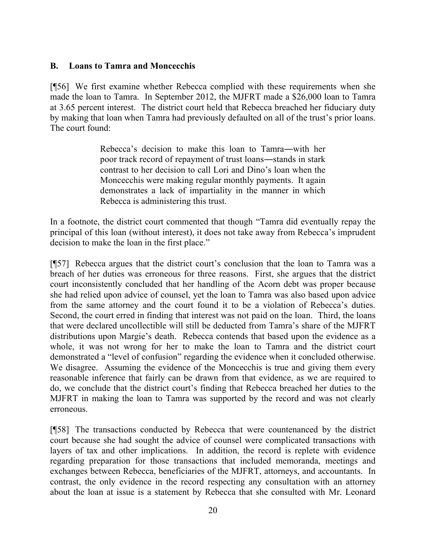### **B. Loans to Tamra and Moncecchis**

[¶56] We first examine whether Rebecca complied with these requirements when she made the loan to Tamra. In September 2012, the MJFRT made a \$26,000 loan to Tamra at 3.65 percent interest. The district court held that Rebecca breached her fiduciary duty by making that loan when Tamra had previously defaulted on all of the trust's prior loans. The court found:

> Rebecca's decision to make this loan to Tamra―with her poor track record of repayment of trust loans―stands in stark contrast to her decision to call Lori and Dino's loan when the Moncecchis were making regular monthly payments. It again demonstrates a lack of impartiality in the manner in which Rebecca is administering this trust.

In a footnote, the district court commented that though "Tamra did eventually repay the principal of this loan (without interest), it does not take away from Rebecca's imprudent decision to make the loan in the first place."

[¶57] Rebecca argues that the district court's conclusion that the loan to Tamra was a breach of her duties was erroneous for three reasons. First, she argues that the district court inconsistently concluded that her handling of the Acorn debt was proper because she had relied upon advice of counsel, yet the loan to Tamra was also based upon advice from the same attorney and the court found it to be a violation of Rebecca's duties. Second, the court erred in finding that interest was not paid on the loan. Third, the loans that were declared uncollectible will still be deducted from Tamra's share of the MJFRT distributions upon Margie's death. Rebecca contends that based upon the evidence as a whole, it was not wrong for her to make the loan to Tamra and the district court demonstrated a "level of confusion" regarding the evidence when it concluded otherwise. We disagree. Assuming the evidence of the Moncecchis is true and giving them every reasonable inference that fairly can be drawn from that evidence, as we are required to do, we conclude that the district court's finding that Rebecca breached her duties to the MJFRT in making the loan to Tamra was supported by the record and was not clearly erroneous.

[¶58] The transactions conducted by Rebecca that were countenanced by the district court because she had sought the advice of counsel were complicated transactions with layers of tax and other implications. In addition, the record is replete with evidence regarding preparation for those transactions that included memoranda, meetings and exchanges between Rebecca, beneficiaries of the MJFRT, attorneys, and accountants. In contrast, the only evidence in the record respecting any consultation with an attorney about the loan at issue is a statement by Rebecca that she consulted with Mr. Leonard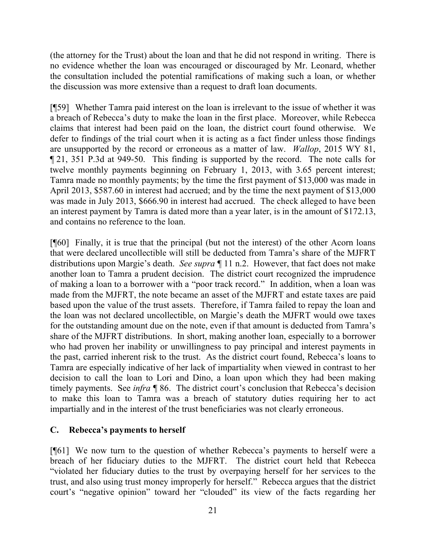(the attorney for the Trust) about the loan and that he did not respond in writing. There is no evidence whether the loan was encouraged or discouraged by Mr. Leonard, whether the consultation included the potential ramifications of making such a loan, or whether the discussion was more extensive than a request to draft loan documents.

[¶59] Whether Tamra paid interest on the loan is irrelevant to the issue of whether it was a breach of Rebecca's duty to make the loan in the first place. Moreover, while Rebecca claims that interest had been paid on the loan, the district court found otherwise. We defer to findings of the trial court when it is acting as a fact finder unless those findings are unsupported by the record or erroneous as a matter of law. *Wallop*, 2015 WY 81, ¶ 21, 351 P.3d at 949-50. This finding is supported by the record. The note calls for twelve monthly payments beginning on February 1, 2013, with 3.65 percent interest; Tamra made no monthly payments; by the time the first payment of \$13,000 was made in April 2013, \$587.60 in interest had accrued; and by the time the next payment of \$13,000 was made in July 2013, \$666.90 in interest had accrued. The check alleged to have been an interest payment by Tamra is dated more than a year later, is in the amount of \$172.13, and contains no reference to the loan.

[¶60] Finally, it is true that the principal (but not the interest) of the other Acorn loans that were declared uncollectible will still be deducted from Tamra's share of the MJFRT distributions upon Margie's death. *See supra* ¶ 11 n.2. However, that fact does not make another loan to Tamra a prudent decision. The district court recognized the imprudence of making a loan to a borrower with a "poor track record." In addition, when a loan was made from the MJFRT, the note became an asset of the MJFRT and estate taxes are paid based upon the value of the trust assets. Therefore, if Tamra failed to repay the loan and the loan was not declared uncollectible, on Margie's death the MJFRT would owe taxes for the outstanding amount due on the note, even if that amount is deducted from Tamra's share of the MJFRT distributions. In short, making another loan, especially to a borrower who had proven her inability or unwillingness to pay principal and interest payments in the past, carried inherent risk to the trust. As the district court found, Rebecca's loans to Tamra are especially indicative of her lack of impartiality when viewed in contrast to her decision to call the loan to Lori and Dino, a loan upon which they had been making timely payments. See *infra* ¶ 86. The district court's conclusion that Rebecca's decision to make this loan to Tamra was a breach of statutory duties requiring her to act impartially and in the interest of the trust beneficiaries was not clearly erroneous.

### **C. Rebecca's payments to herself**

[¶61] We now turn to the question of whether Rebecca's payments to herself were a breach of her fiduciary duties to the MJFRT. The district court held that Rebecca "violated her fiduciary duties to the trust by overpaying herself for her services to the trust, and also using trust money improperly for herself." Rebecca argues that the district court's "negative opinion" toward her "clouded" its view of the facts regarding her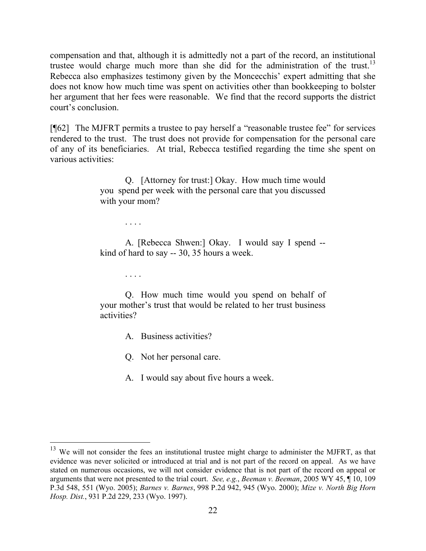compensation and that, although it is admittedly not a part of the record, an institutional trustee would charge much more than she did for the administration of the trust.<sup>13</sup> Rebecca also emphasizes testimony given by the Moncecchis' expert admitting that she does not know how much time was spent on activities other than bookkeeping to bolster her argument that her fees were reasonable. We find that the record supports the district court's conclusion.

[¶62] The MJFRT permits a trustee to pay herself a "reasonable trustee fee" for services rendered to the trust. The trust does not provide for compensation for the personal care of any of its beneficiaries. At trial, Rebecca testified regarding the time she spent on various activities:

> Q. [Attorney for trust:] Okay. How much time would you spend per week with the personal care that you discussed with your mom?

> > . . . .

A. [Rebecca Shwen:] Okay. I would say I spend - kind of hard to say -- 30, 35 hours a week.

. . . .

Q. How much time would you spend on behalf of your mother's trust that would be related to her trust business activities?

A. Business activities?

Q. Not her personal care.

A. I would say about five hours a week.

 $13$  We will not consider the fees an institutional trustee might charge to administer the MJFRT, as that evidence was never solicited or introduced at trial and is not part of the record on appeal. As we have stated on numerous occasions, we will not consider evidence that is not part of the record on appeal or arguments that were not presented to the trial court. *See, e.g.*, *Beeman v. Beeman*, 2005 WY 45, ¶ 10, 109 P.3d 548, 551 (Wyo. 2005); *Barnes v. Barnes*, 998 P.2d 942, 945 (Wyo. 2000); *Mize v. North Big Horn Hosp. Dist.*, 931 P.2d 229, 233 (Wyo. 1997).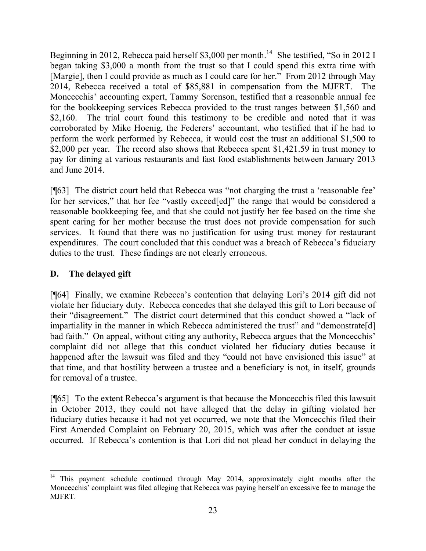Beginning in 2012, Rebecca paid herself \$3,000 per month.<sup>14</sup> She testified, "So in 2012 I began taking \$3,000 a month from the trust so that I could spend this extra time with [Margie], then I could provide as much as I could care for her." From 2012 through May 2014, Rebecca received a total of \$85,881 in compensation from the MJFRT. The Moncecchis' accounting expert, Tammy Sorenson, testified that a reasonable annual fee for the bookkeeping services Rebecca provided to the trust ranges between \$1,560 and \$2,160. The trial court found this testimony to be credible and noted that it was corroborated by Mike Hoenig, the Federers' accountant, who testified that if he had to perform the work performed by Rebecca, it would cost the trust an additional \$1,500 to \$2,000 per year. The record also shows that Rebecca spent \$1,421.59 in trust money to pay for dining at various restaurants and fast food establishments between January 2013 and June 2014.

[¶63] The district court held that Rebecca was "not charging the trust a 'reasonable fee' for her services," that her fee "vastly exceed[ed]" the range that would be considered a reasonable bookkeeping fee, and that she could not justify her fee based on the time she spent caring for her mother because the trust does not provide compensation for such services. It found that there was no justification for using trust money for restaurant expenditures. The court concluded that this conduct was a breach of Rebecca's fiduciary duties to the trust. These findings are not clearly erroneous.

## **D. The delayed gift**

[¶64] Finally, we examine Rebecca's contention that delaying Lori's 2014 gift did not violate her fiduciary duty. Rebecca concedes that she delayed this gift to Lori because of their "disagreement." The district court determined that this conduct showed a "lack of impartiality in the manner in which Rebecca administered the trust" and "demonstrate[d] bad faith." On appeal, without citing any authority, Rebecca argues that the Moncecchis' complaint did not allege that this conduct violated her fiduciary duties because it happened after the lawsuit was filed and they "could not have envisioned this issue" at that time, and that hostility between a trustee and a beneficiary is not, in itself, grounds for removal of a trustee.

[¶65] To the extent Rebecca's argument is that because the Moncecchis filed this lawsuit in October 2013, they could not have alleged that the delay in gifting violated her fiduciary duties because it had not yet occurred, we note that the Moncecchis filed their First Amended Complaint on February 20, 2015, which was after the conduct at issue occurred. If Rebecca's contention is that Lori did not plead her conduct in delaying the

 <sup>14</sup> This payment schedule continued through May 2014, approximately eight months after the Moncecchis' complaint was filed alleging that Rebecca was paying herself an excessive fee to manage the MJFRT.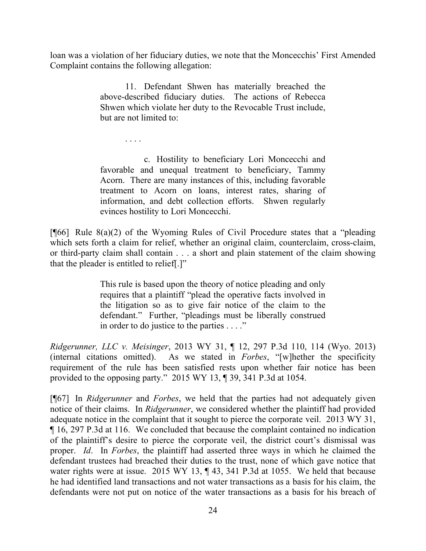loan was a violation of her fiduciary duties, we note that the Moncecchis' First Amended Complaint contains the following allegation:

> 11. Defendant Shwen has materially breached the above-described fiduciary duties. The actions of Rebecca Shwen which violate her duty to the Revocable Trust include, but are not limited to:

> > . . . .

c. Hostility to beneficiary Lori Moncecchi and favorable and unequal treatment to beneficiary, Tammy Acorn. There are many instances of this, including favorable treatment to Acorn on loans, interest rates, sharing of information, and debt collection efforts. Shwen regularly evinces hostility to Lori Moncecchi.

[ $[66]$ ] Rule 8(a)(2) of the Wyoming Rules of Civil Procedure states that a "pleading" which sets forth a claim for relief, whether an original claim, counterclaim, cross-claim, or third-party claim shall contain . . . a short and plain statement of the claim showing that the pleader is entitled to relief[.]"

> This rule is based upon the theory of notice pleading and only requires that a plaintiff "plead the operative facts involved in the litigation so as to give fair notice of the claim to the defendant." Further, "pleadings must be liberally construed in order to do justice to the parties . . . ."

*Ridgerunner, LLC v. Meisinger*, 2013 WY 31, ¶ 12, 297 P.3d 110, 114 (Wyo. 2013) (internal citations omitted). As we stated in *Forbes*, "[w]hether the specificity requirement of the rule has been satisfied rests upon whether fair notice has been provided to the opposing party." 2015 WY 13, ¶ 39, 341 P.3d at 1054.

[¶67] In *Ridgerunner* and *Forbes*, we held that the parties had not adequately given notice of their claims. In *Ridgerunner*, we considered whether the plaintiff had provided adequate notice in the complaint that it sought to pierce the corporate veil. 2013 WY 31, ¶ 16, 297 P.3d at 116. We concluded that because the complaint contained no indication of the plaintiff's desire to pierce the corporate veil, the district court's dismissal was proper. *Id*. In *Forbes*, the plaintiff had asserted three ways in which he claimed the defendant trustees had breached their duties to the trust, none of which gave notice that water rights were at issue. 2015 WY 13,  $\P$  43, 341 P.3d at 1055. We held that because he had identified land transactions and not water transactions as a basis for his claim, the defendants were not put on notice of the water transactions as a basis for his breach of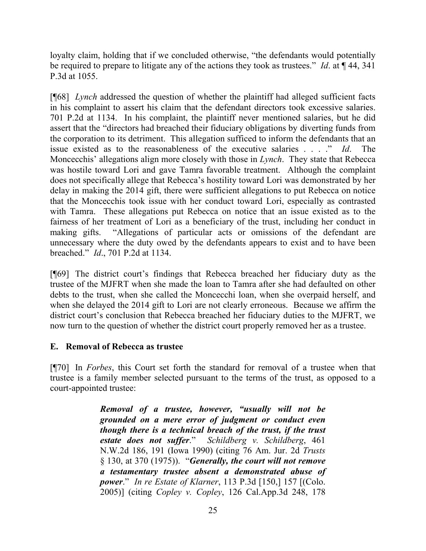loyalty claim, holding that if we concluded otherwise, "the defendants would potentially be required to prepare to litigate any of the actions they took as trustees." *Id*. at ¶ 44, 341 P.3d at 1055.

[¶68] *Lynch* addressed the question of whether the plaintiff had alleged sufficient facts in his complaint to assert his claim that the defendant directors took excessive salaries. 701 P.2d at 1134. In his complaint, the plaintiff never mentioned salaries, but he did assert that the "directors had breached their fiduciary obligations by diverting funds from the corporation to its detriment. This allegation sufficed to inform the defendants that an issue existed as to the reasonableness of the executive salaries . . . . " *Id*. Moncecchis' allegations align more closely with those in *Lynch*. They state that Rebecca was hostile toward Lori and gave Tamra favorable treatment. Although the complaint does not specifically allege that Rebecca's hostility toward Lori was demonstrated by her delay in making the 2014 gift, there were sufficient allegations to put Rebecca on notice that the Moncecchis took issue with her conduct toward Lori, especially as contrasted with Tamra. These allegations put Rebecca on notice that an issue existed as to the fairness of her treatment of Lori as a beneficiary of the trust, including her conduct in making gifts. "Allegations of particular acts or omissions of the defendant are unnecessary where the duty owed by the defendants appears to exist and to have been breached." *Id*., 701 P.2d at 1134.

[¶69] The district court's findings that Rebecca breached her fiduciary duty as the trustee of the MJFRT when she made the loan to Tamra after she had defaulted on other debts to the trust, when she called the Moncecchi loan, when she overpaid herself, and when she delayed the 2014 gift to Lori are not clearly erroneous. Because we affirm the district court's conclusion that Rebecca breached her fiduciary duties to the MJFRT, we now turn to the question of whether the district court properly removed her as a trustee.

### **E. Removal of Rebecca as trustee**

[¶70] In *Forbes*, this Court set forth the standard for removal of a trustee when that trustee is a family member selected pursuant to the terms of the trust, as opposed to a court-appointed trustee:

> *Removal of a trustee, however, "usually will not be grounded on a mere error of judgment or conduct even though there is a technical breach of the trust, if the trust estate does not suffer*." *Schildberg v. Schildberg*, 461 N.W.2d 186, 191 (Iowa 1990) (citing 76 Am. Jur. 2d *Trusts* § 130, at 370 (1975)). "*Generally, the court will not remove a testamentary trustee absent a demonstrated abuse of power*." *In re Estate of Klarner*, 113 P.3d [150,] 157 [(Colo. 2005)] (citing *Copley v. Copley*, 126 Cal.App.3d 248, 178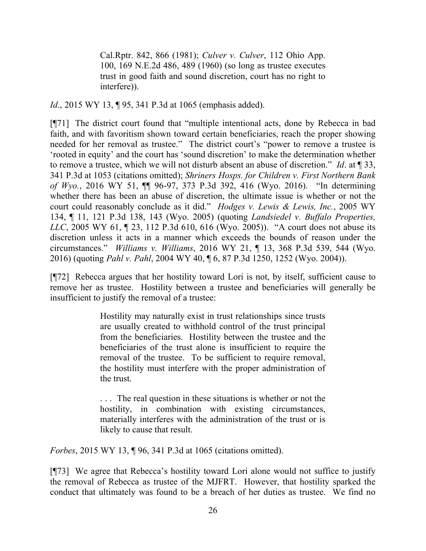Cal.Rptr. 842, 866 (1981); *Culver v. Culver*, 112 Ohio App. 100, 169 N.E.2d 486, 489 (1960) (so long as trustee executes trust in good faith and sound discretion, court has no right to interfere)).

*Id.*, 2015 WY 13, 195, 341 P.3d at 1065 (emphasis added).

[¶71] The district court found that "multiple intentional acts, done by Rebecca in bad faith, and with favoritism shown toward certain beneficiaries, reach the proper showing needed for her removal as trustee." The district court's "power to remove a trustee is 'rooted in equity' and the court has 'sound discretion' to make the determination whether to remove a trustee, which we will not disturb absent an abuse of discretion." *Id*. at ¶ 33, 341 P.3d at 1053 (citations omitted); *Shriners Hosps. for Children v. First Northern Bank of Wyo.*, 2016 WY 51, ¶¶ 96-97, 373 P.3d 392, 416 (Wyo. 2016). "In determining whether there has been an abuse of discretion, the ultimate issue is whether or not the court could reasonably conclude as it did." *Hodges v. Lewis & Lewis, Inc.*, 2005 WY 134, ¶ 11, 121 P.3d 138, 143 (Wyo. 2005) (quoting *Landsiedel v. Buffalo Properties, LLC*, 2005 WY 61, ¶ 23, 112 P.3d 610, 616 (Wyo. 2005)). "A court does not abuse its discretion unless it acts in a manner which exceeds the bounds of reason under the circumstances." *Williams v. Williams*, 2016 WY 21, ¶ 13, 368 P.3d 539, 544 (Wyo. 2016) (quoting *Pahl v. Pahl*, 2004 WY 40, ¶ 6, 87 P.3d 1250, 1252 (Wyo. 2004)).

[¶72] Rebecca argues that her hostility toward Lori is not, by itself, sufficient cause to remove her as trustee. Hostility between a trustee and beneficiaries will generally be insufficient to justify the removal of a trustee:

> Hostility may naturally exist in trust relationships since trusts are usually created to withhold control of the trust principal from the beneficiaries. Hostility between the trustee and the beneficiaries of the trust alone is insufficient to require the removal of the trustee. To be sufficient to require removal, the hostility must interfere with the proper administration of the trust.

> . . . The real question in these situations is whether or not the hostility, in combination with existing circumstances, materially interferes with the administration of the trust or is likely to cause that result.

*Forbes*, 2015 WY 13, ¶ 96, 341 P.3d at 1065 (citations omitted).

[¶73] We agree that Rebecca's hostility toward Lori alone would not suffice to justify the removal of Rebecca as trustee of the MJFRT. However, that hostility sparked the conduct that ultimately was found to be a breach of her duties as trustee. We find no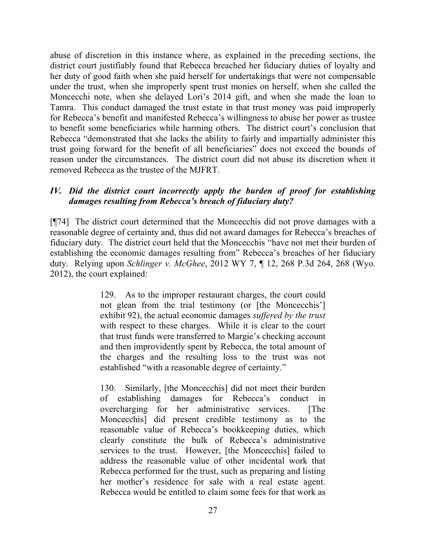abuse of discretion in this instance where, as explained in the preceding sections, the district court justifiably found that Rebecca breached her fiduciary duties of loyalty and her duty of good faith when she paid herself for undertakings that were not compensable under the trust, when she improperly spent trust monies on herself, when she called the Moncecchi note, when she delayed Lori's 2014 gift, and when she made the loan to Tamra. This conduct damaged the trust estate in that trust money was paid improperly for Rebecca's benefit and manifested Rebecca's willingness to abuse her power as trustee to benefit some beneficiaries while harming others. The district court's conclusion that Rebecca "demonstrated that she lacks the ability to fairly and impartially administer this trust going forward for the benefit of all beneficiaries" does not exceed the bounds of reason under the circumstances. The district court did not abuse its discretion when it removed Rebecca as the trustee of the MJFRT.

### *IV. Did the district court incorrectly apply the burden of proof for establishing damages resulting from Rebecca's breach of fiduciary duty?*

[¶74] The district court determined that the Moncecchis did not prove damages with a reasonable degree of certainty and, thus did not award damages for Rebecca's breaches of fiduciary duty. The district court held that the Moncecchis "have not met their burden of establishing the economic damages resulting from" Rebecca's breaches of her fiduciary duty. Relying upon *Schlinger v. McGhee*, 2012 WY 7, ¶ 12, 268 P.3d 264, 268 (Wyo. 2012), the court explained:

> 129. As to the improper restaurant charges, the court could not glean from the trial testimony (or [the Moncecchis'] exhibit 92), the actual economic damages *suffered by the trust* with respect to these charges. While it is clear to the court that trust funds were transferred to Margie's checking account and then improvidently spent by Rebecca, the total amount of the charges and the resulting loss to the trust was not established "with a reasonable degree of certainty."

> 130. Similarly, [the Moncecchis] did not meet their burden of establishing damages for Rebecca's conduct in overcharging for her administrative services. [The Moncecchis] did present credible testimony as to the reasonable value of Rebecca's bookkeeping duties, which clearly constitute the bulk of Rebecca's administrative services to the trust. However, [the Moncecchis] failed to address the reasonable value of other incidental work that Rebecca performed for the trust, such as preparing and listing her mother's residence for sale with a real estate agent. Rebecca would be entitled to claim some fees for that work as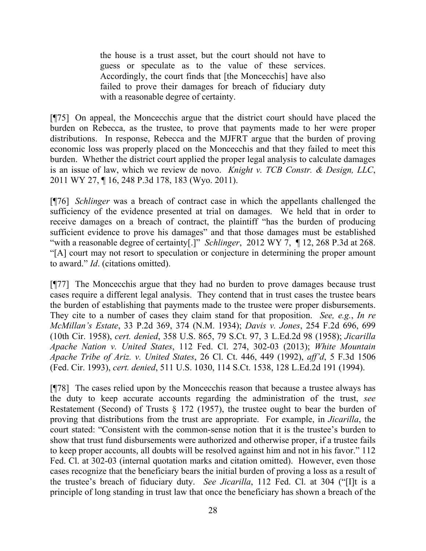the house is a trust asset, but the court should not have to guess or speculate as to the value of these services. Accordingly, the court finds that [the Moncecchis] have also failed to prove their damages for breach of fiduciary duty with a reasonable degree of certainty.

[¶75] On appeal, the Moncecchis argue that the district court should have placed the burden on Rebecca, as the trustee, to prove that payments made to her were proper distributions. In response, Rebecca and the MJFRT argue that the burden of proving economic loss was properly placed on the Moncecchis and that they failed to meet this burden. Whether the district court applied the proper legal analysis to calculate damages is an issue of law, which we review de novo. *Knight v. TCB Constr. & Design, LLC*, 2011 WY 27, ¶ 16, 248 P.3d 178, 183 (Wyo. 2011).

[¶76] *Schlinger* was a breach of contract case in which the appellants challenged the sufficiency of the evidence presented at trial on damages. We held that in order to receive damages on a breach of contract, the plaintiff "has the burden of producing sufficient evidence to prove his damages" and that those damages must be established "with a reasonable degree of certainty[.]" *Schlinger*, 2012 WY 7, ¶ 12, 268 P.3d at 268. "[A] court may not resort to speculation or conjecture in determining the proper amount to award." *Id*. (citations omitted).

[¶77] The Moncecchis argue that they had no burden to prove damages because trust cases require a different legal analysis. They contend that in trust cases the trustee bears the burden of establishing that payments made to the trustee were proper disbursements. They cite to a number of cases they claim stand for that proposition. *See, e.g.*, *In re McMillan's Estate*, 33 P.2d 369, 374 (N.M. 1934); *Davis v. Jones*, 254 F.2d 696, 699 (10th Cir. 1958), *cert. denied*, 358 U.S. 865, 79 S.Ct. 97, 3 L.Ed.2d 98 (1958); *Jicarilla Apache Nation v. United States*, 112 Fed. Cl. 274, 302-03 (2013); *White Mountain Apache Tribe of Ariz. v. United States*, 26 Cl. Ct. 446, 449 (1992), *aff'd*, 5 F.3d 1506 (Fed. Cir. 1993), *cert. denied*, 511 U.S. 1030, 114 S.Ct. 1538, 128 L.Ed.2d 191 (1994).

[¶78] The cases relied upon by the Moncecchis reason that because a trustee always has the duty to keep accurate accounts regarding the administration of the trust, *see*  Restatement (Second) of Trusts § 172 (1957), the trustee ought to bear the burden of proving that distributions from the trust are appropriate. For example, in *Jicarilla*, the court stated: "Consistent with the common-sense notion that it is the trustee's burden to show that trust fund disbursements were authorized and otherwise proper, if a trustee fails to keep proper accounts, all doubts will be resolved against him and not in his favor." 112 Fed. Cl. at 302-03 (internal quotation marks and citation omitted). However, even those cases recognize that the beneficiary bears the initial burden of proving a loss as a result of the trustee's breach of fiduciary duty. *See Jicarilla*, 112 Fed. Cl. at 304 ("[I]t is a principle of long standing in trust law that once the beneficiary has shown a breach of the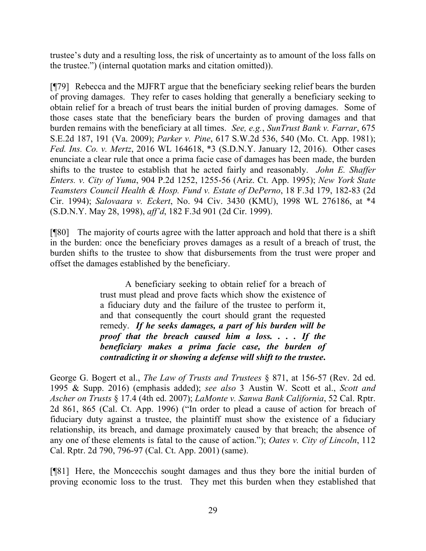trustee's duty and a resulting loss, the risk of uncertainty as to amount of the loss falls on the trustee.") (internal quotation marks and citation omitted)).

[¶79] Rebecca and the MJFRT argue that the beneficiary seeking relief bears the burden of proving damages. They refer to cases holding that generally a beneficiary seeking to obtain relief for a breach of trust bears the initial burden of proving damages. Some of those cases state that the beneficiary bears the burden of proving damages and that burden remains with the beneficiary at all times. *See, e.g.*, *SunTrust Bank v. Farrar*, 675 S.E.2d 187, 191 (Va. 2009); *Parker v. Pine*, 617 S.W.2d 536, 540 (Mo. Ct. App. 1981); *Fed. Ins. Co. v. Mertz*, 2016 WL 164618, \*3 (S.D.N.Y. January 12, 2016). Other cases enunciate a clear rule that once a prima facie case of damages has been made, the burden shifts to the trustee to establish that he acted fairly and reasonably. *John E. Shaffer Enters. v. City of Yuma*, 904 P.2d 1252, 1255-56 (Ariz. Ct. App. 1995); *New York State Teamsters Council Health & Hosp. Fund v. Estate of DePerno*, 18 F.3d 179, 182-83 (2d Cir. 1994); *Salovaara v. Eckert*, No. 94 Civ. 3430 (KMU), 1998 WL 276186, at \*4 (S.D.N.Y. May 28, 1998), *aff'd*, 182 F.3d 901 (2d Cir. 1999).

[¶80] The majority of courts agree with the latter approach and hold that there is a shift in the burden: once the beneficiary proves damages as a result of a breach of trust, the burden shifts to the trustee to show that disbursements from the trust were proper and offset the damages established by the beneficiary.

> A beneficiary seeking to obtain relief for a breach of trust must plead and prove facts which show the existence of a fiduciary duty and the failure of the trustee to perform it, and that consequently the court should grant the requested remedy. *If he seeks damages, a part of his burden will be proof that the breach caused him a loss. . . . If the beneficiary makes a prima facie case, the burden of contradicting it or showing a defense will shift to the trustee***.**

George G. Bogert et al., *The Law of Trusts and Trustees* § 871, at 156-57 (Rev. 2d ed. 1995 & Supp. 2016) (emphasis added); *see also* 3 Austin W. Scott et al., *Scott and Ascher on Trusts* § 17.4 (4th ed. 2007); *LaMonte v. Sanwa Bank California*, 52 Cal. Rptr. 2d 861, 865 (Cal. Ct. App. 1996) ("In order to plead a cause of action for breach of fiduciary duty against a trustee, the plaintiff must show the existence of a fiduciary relationship, its breach, and damage proximately caused by that breach; the absence of any one of these elements is fatal to the cause of action."); *Oates v. City of Lincoln*, 112 Cal. Rptr. 2d 790, 796-97 (Cal. Ct. App. 2001) (same).

[¶81] Here, the Moncecchis sought damages and thus they bore the initial burden of proving economic loss to the trust. They met this burden when they established that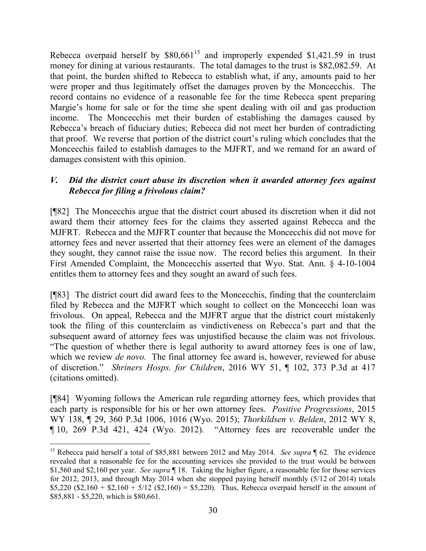Rebecca overpaid herself by  $$80,661^{15}$  and improperly expended \$1,421.59 in trust money for dining at various restaurants. The total damages to the trust is \$82,082.59. At that point, the burden shifted to Rebecca to establish what, if any, amounts paid to her were proper and thus legitimately offset the damages proven by the Moncecchis. The record contains no evidence of a reasonable fee for the time Rebecca spent preparing Margie's home for sale or for the time she spent dealing with oil and gas production income. The Moncecchis met their burden of establishing the damages caused by Rebecca's breach of fiduciary duties; Rebecca did not meet her burden of contradicting that proof. We reverse that portion of the district court's ruling which concludes that the Moncecchis failed to establish damages to the MJFRT, and we remand for an award of damages consistent with this opinion.

### *V. Did the district court abuse its discretion when it awarded attorney fees against Rebecca for filing a frivolous claim?*

[¶82] The Moncecchis argue that the district court abused its discretion when it did not award them their attorney fees for the claims they asserted against Rebecca and the MJFRT. Rebecca and the MJFRT counter that because the Moncecchis did not move for attorney fees and never asserted that their attorney fees were an element of the damages they sought, they cannot raise the issue now. The record belies this argument. In their First Amended Complaint, the Moncecchis asserted that Wyo. Stat. Ann. § 4-10-1004 entitles them to attorney fees and they sought an award of such fees.

[¶83] The district court did award fees to the Moncecchis, finding that the counterclaim filed by Rebecca and the MJFRT which sought to collect on the Moncecchi loan was frivolous. On appeal, Rebecca and the MJFRT argue that the district court mistakenly took the filing of this counterclaim as vindictiveness on Rebecca's part and that the subsequent award of attorney fees was unjustified because the claim was not frivolous. "The question of whether there is legal authority to award attorney fees is one of law, which we review *de novo*. The final attorney fee award is, however, reviewed for abuse of discretion." *Shriners Hosps. for Children*, 2016 WY 51, ¶ 102, 373 P.3d at 417 (citations omitted).

[¶84] Wyoming follows the American rule regarding attorney fees, which provides that each party is responsible for his or her own attorney fees. *Positive Progressions*, 2015 WY 138, ¶ 29, 360 P.3d 1006, 1016 (Wyo. 2015); *Thorkildsen v. Belden*, 2012 WY 8, ¶ 10, 269 P.3d 421, 424 (Wyo. 2012). "Attorney fees are recoverable under the

 <sup>15</sup> Rebecca paid herself a total of \$85,881 between 2012 and May 2014. *See supra* 162. The evidence revealed that a reasonable fee for the accounting services she provided to the trust would be between \$1,560 and \$2,160 per year. *See supra* ¶ 18. Taking the higher figure, a reasonable fee for those services for 2012, 2013, and through May 2014 when she stopped paying herself monthly (5/12 of 2014) totals  $$5,220$  (\$2,160 + \$2,160 + 5/12 (\$2,160) = \$5,220). Thus, Rebecca overpaid herself in the amount of \$85,881 - \$5,220, which is \$80,661.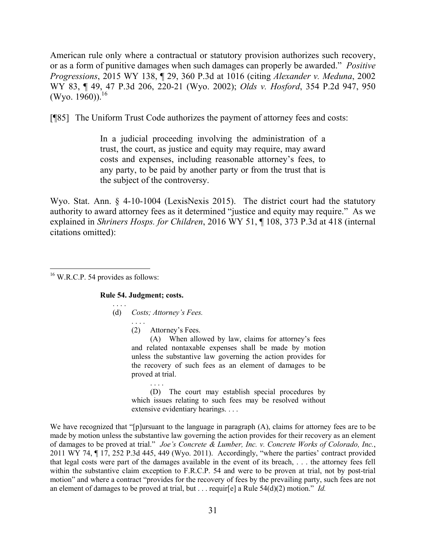American rule only where a contractual or statutory provision authorizes such recovery, or as a form of punitive damages when such damages can properly be awarded." *Positive Progressions*, 2015 WY 138, ¶ 29, 360 P.3d at 1016 (citing *Alexander v. Meduna*, 2002 WY 83, ¶ 49, 47 P.3d 206, 220-21 (Wyo. 2002); *Olds v. Hosford*, 354 P.2d 947, 950 (Wyo. 1960)). $^{16}$ 

[¶85] The Uniform Trust Code authorizes the payment of attorney fees and costs:

In a judicial proceeding involving the administration of a trust, the court, as justice and equity may require, may award costs and expenses, including reasonable attorney's fees, to any party, to be paid by another party or from the trust that is the subject of the controversy.

Wyo. Stat. Ann. § 4-10-1004 (LexisNexis 2015). The district court had the statutory authority to award attorney fees as it determined "justice and equity may require." As we explained in *Shriners Hosps. for Children*, 2016 WY 51, ¶ 108, 373 P.3d at 418 (internal citations omitted):

 <sup>16</sup> W.R.C.P. 54 provides as follows:

**Rule 54. Judgment; costs.**

. . . . (d) *Costs; Attorney's Fees.*

. . . .

. . . . (2) Attorney's Fees.

(A) When allowed by law, claims for attorney's fees and related nontaxable expenses shall be made by motion unless the substantive law governing the action provides for the recovery of such fees as an element of damages to be proved at trial.

(D) The court may establish special procedures by which issues relating to such fees may be resolved without extensive evidentiary hearings. . . .

We have recognized that "[p]ursuant to the language in paragraph (A), claims for attorney fees are to be made by motion unless the substantive law governing the action provides for their recovery as an element of damages to be proved at trial." *Joe's Concrete & Lumber, Inc. v. Concrete Works of Colorado, Inc.*, 2011 WY 74, ¶ 17, 252 P.3d 445, 449 (Wyo. 2011). Accordingly, "where the parties' contract provided that legal costs were part of the damages available in the event of its breach, . . . the attorney fees fell within the substantive claim exception to F.R.C.P. 54 and were to be proven at trial, not by post-trial motion" and where a contract "provides for the recovery of fees by the prevailing party, such fees are not an element of damages to be proved at trial, but . . . requir[e] a Rule 54(d)(2) motion." *Id.*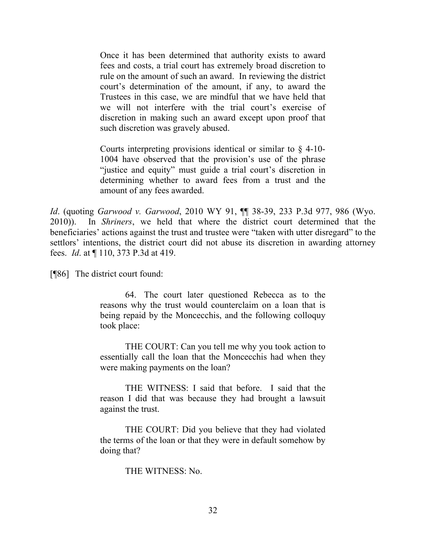Once it has been determined that authority exists to award fees and costs, a trial court has extremely broad discretion to rule on the amount of such an award. In reviewing the district court's determination of the amount, if any, to award the Trustees in this case, we are mindful that we have held that we will not interfere with the trial court's exercise of discretion in making such an award except upon proof that such discretion was gravely abused.

Courts interpreting provisions identical or similar to § 4-10- 1004 have observed that the provision's use of the phrase "justice and equity" must guide a trial court's discretion in determining whether to award fees from a trust and the amount of any fees awarded.

*Id*. (quoting *Garwood v. Garwood*, 2010 WY 91, ¶¶ 38-39, 233 P.3d 977, 986 (Wyo. 2010)). In *Shriners*, we held that where the district court determined that the beneficiaries' actions against the trust and trustee were "taken with utter disregard" to the settlors' intentions, the district court did not abuse its discretion in awarding attorney fees. *Id*. at ¶ 110, 373 P.3d at 419.

[¶86] The district court found:

64. The court later questioned Rebecca as to the reasons why the trust would counterclaim on a loan that is being repaid by the Moncecchis, and the following colloquy took place:

THE COURT: Can you tell me why you took action to essentially call the loan that the Moncecchis had when they were making payments on the loan?

THE WITNESS: I said that before. I said that the reason I did that was because they had brought a lawsuit against the trust.

THE COURT: Did you believe that they had violated the terms of the loan or that they were in default somehow by doing that?

THE WITNESS: No.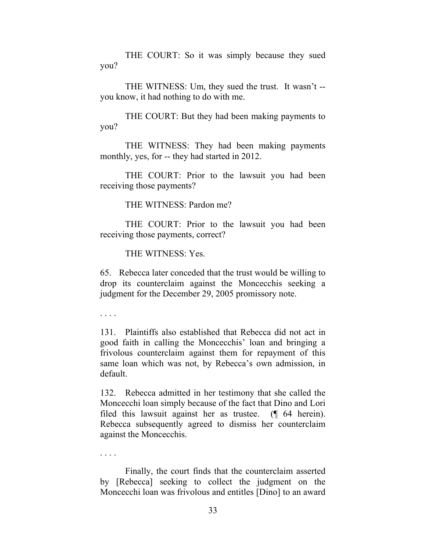THE COURT: So it was simply because they sued you?

THE WITNESS: Um, they sued the trust. It wasn't - you know, it had nothing to do with me.

THE COURT: But they had been making payments to you?

THE WITNESS: They had been making payments monthly, yes, for -- they had started in 2012.

THE COURT: Prior to the lawsuit you had been receiving those payments?

THE WITNESS: Pardon me?

THE COURT: Prior to the lawsuit you had been receiving those payments, correct?

THE WITNESS: Yes.

65. Rebecca later conceded that the trust would be willing to drop its counterclaim against the Moncecchis seeking a judgment for the December 29, 2005 promissory note.

. . . .

131. Plaintiffs also established that Rebecca did not act in good faith in calling the Moncecchis' loan and bringing a frivolous counterclaim against them for repayment of this same loan which was not, by Rebecca's own admission, in default.

132. Rebecca admitted in her testimony that she called the Moncecchi loan simply because of the fact that Dino and Lori filed this lawsuit against her as trustee. (¶ 64 herein). Rebecca subsequently agreed to dismiss her counterclaim against the Moncecchis.

. . . .

Finally, the court finds that the counterclaim asserted by [Rebecca] seeking to collect the judgment on the Moncecchi loan was frivolous and entitles [Dino] to an award